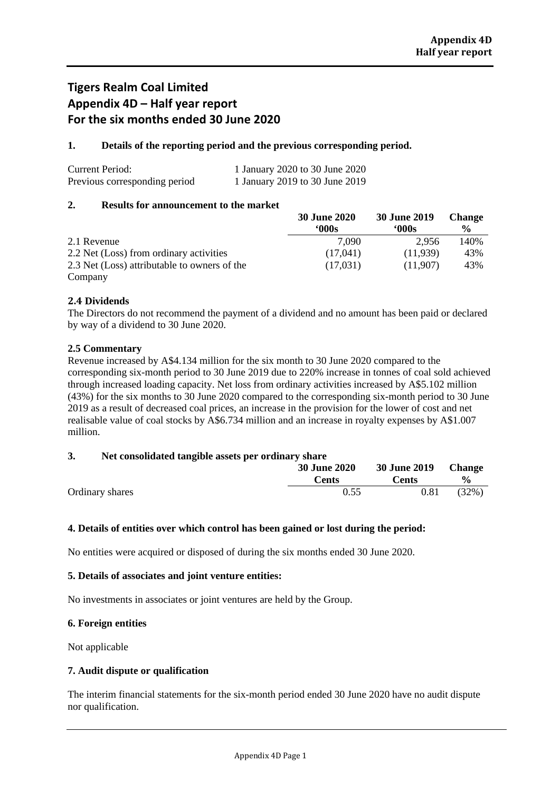## **Tigers Realm Coal Limited Appendix 4D – Half year report For the six months ended 30 June 2020**

#### **1. Details of the reporting period and the previous corresponding period.**

| Current Period:               | 1 January 2020 to 30 June 2020 |
|-------------------------------|--------------------------------|
| Previous corresponding period | 1 January 2019 to 30 June 2019 |

#### **2. Results for announcement to the market**

|                                              | <b>30 June 2020</b> | <b>30 June 2019</b> | <b>Change</b> |
|----------------------------------------------|---------------------|---------------------|---------------|
|                                              | '000s               | '000s               | $\frac{6}{9}$ |
| 2.1 Revenue                                  | 7.090               | 2.956               | 140%          |
| 2.2 Net (Loss) from ordinary activities      | (17.041)            | (11,939)            | 43%           |
| 2.3 Net (Loss) attributable to owners of the | (17.031)            | (11,907)            | 43%           |
| Company                                      |                     |                     |               |

#### **2.4 Dividends**

The Directors do not recommend the payment of a dividend and no amount has been paid or declared by way of a dividend to 30 June 2020.

#### **2.5 Commentary**

Revenue increased by A\$4.134 million for the six month to 30 June 2020 compared to the corresponding six-month period to 30 June 2019 due to 220% increase in tonnes of coal sold achieved through increased loading capacity. Net loss from ordinary activities increased by A\$5.102 million (43%) for the six months to 30 June 2020 compared to the corresponding six-month period to 30 June 2019 as a result of decreased coal prices, an increase in the provision for the lower of cost and net realisable value of coal stocks by A\$6.734 million and an increase in royalty expenses by A\$1.007 million.

#### **3. Net consolidated tangible assets per ordinary share**

|                 |  | <b>30 June 2020</b><br><b>Cents</b> | 30 June 2019 Change<br><b>Cents</b> | $\frac{6}{10}$ |
|-----------------|--|-------------------------------------|-------------------------------------|----------------|
| Ordinary shares |  | 0.55                                | 0.81                                | (32%)          |

#### **4. Details of entities over which control has been gained or lost during the period:**

No entities were acquired or disposed of during the six months ended 30 June 2020.

#### **5. Details of associates and joint venture entities:**

No investments in associates or joint ventures are held by the Group.

#### **6. Foreign entities**

Not applicable

#### **7. Audit dispute or qualification**

The interim financial statements for the six-month period ended 30 June 2020 have no audit dispute nor qualification.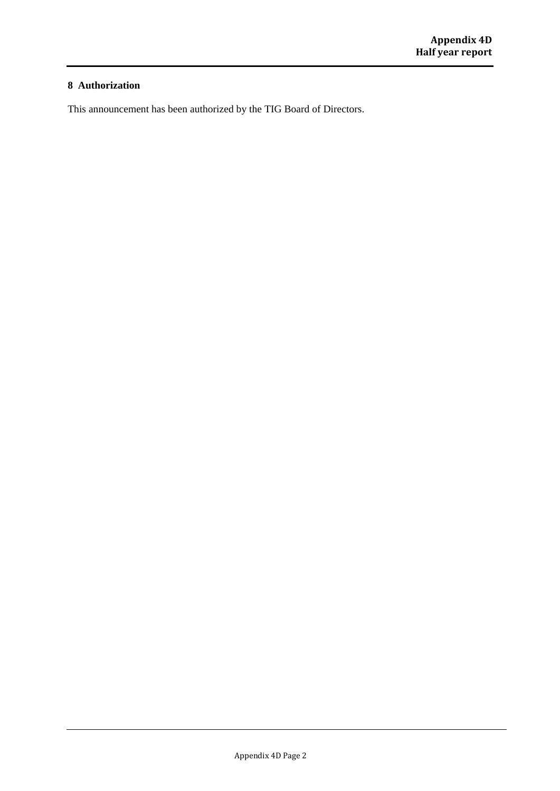#### **8 Authorization**

This announcement has been authorized by the TIG Board of Directors.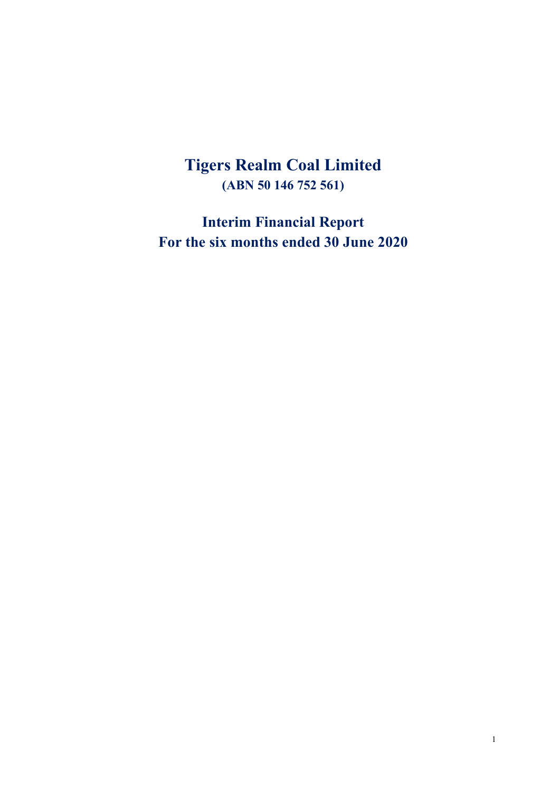## **Tigers Realm Coal Limited (ABN 50 146 752 561)**

**Interim Financial Report For the six months ended 30 June 2020**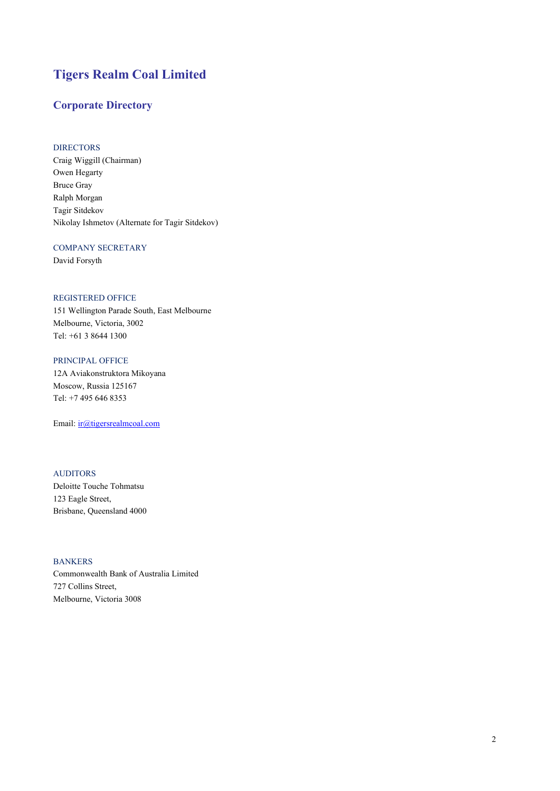## **Tigers Realm Coal Limited**

#### **Corporate Directory**

#### DIRECTORS

Craig Wiggill (Chairman) Owen Hegarty Bruce Gray Ralph Morgan Tagir Sitdekov Nikolay Ishmetov (Alternate for Tagir Sitdekov)

#### COMPANY SECRETARY

David Forsyth

#### REGISTERED OFFICE

151 Wellington Parade South, East Melbourne Melbourne, Victoria, 3002 Tel: +61 3 8644 1300

#### PRINCIPAL OFFICE

12A Aviakonstruktora Mikoyana Moscow, Russia 125167 Tel: +7 495 646 8353

Email: [ir@tigersrealmcoal.com](mailto:ir@tigersrealmcoal.com)

#### AUDITORS

Deloitte Touche Tohmatsu 123 Eagle Street, Brisbane, Queensland 4000

#### BANKERS

Commonwealth Bank of Australia Limited 727 Collins Street, Melbourne, Victoria 3008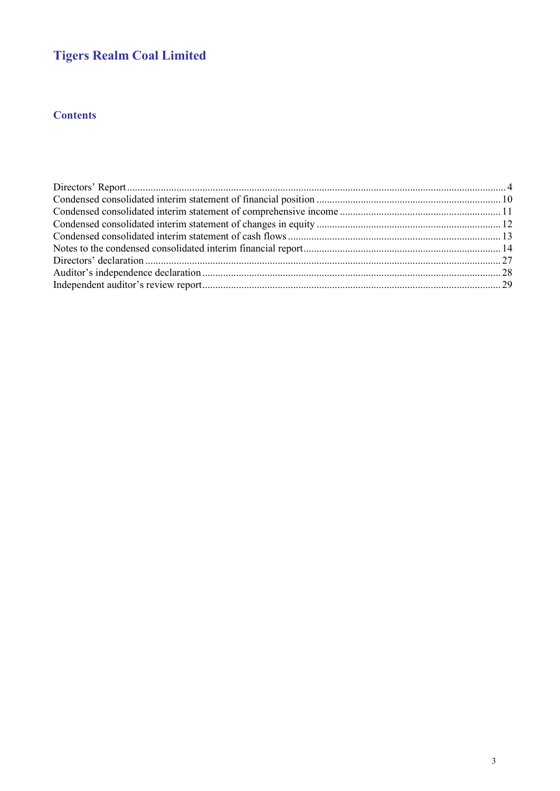## **Tigers Realm Coal Limited**

## **Contents**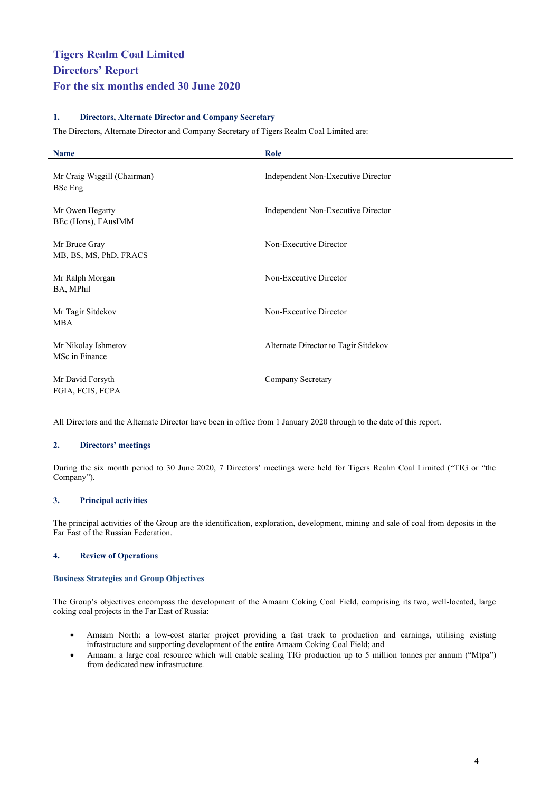#### <span id="page-5-0"></span>**1. Directors, Alternate Director and Company Secretary**

The Directors, Alternate Director and Company Secretary of Tigers Realm Coal Limited are:

| <b>Name</b>                             | Role                                 |
|-----------------------------------------|--------------------------------------|
| Mr Craig Wiggill (Chairman)<br>BSc Eng  | Independent Non-Executive Director   |
| Mr Owen Hegarty<br>BEc (Hons), FAusIMM  | Independent Non-Executive Director   |
| Mr Bruce Gray<br>MB, BS, MS, PhD, FRACS | Non-Executive Director               |
| Mr Ralph Morgan<br>BA, MPhil            | Non-Executive Director               |
| Mr Tagir Sitdekov<br>MBA                | Non-Executive Director               |
| Mr Nikolay Ishmetov<br>MSc in Finance   | Alternate Director to Tagir Sitdekov |
| Mr David Forsyth<br>FGIA, FCIS, FCPA    | Company Secretary                    |

All Directors and the Alternate Director have been in office from 1 January 2020 through to the date of this report.

#### **2. Directors' meetings**

During the six month period to 30 June 2020, 7 Directors' meetings were held for Tigers Realm Coal Limited ("TIG or "the Company").

#### **3. Principal activities**

The principal activities of the Group are the identification, exploration, development, mining and sale of coal from deposits in the Far East of the Russian Federation.

#### **4. Review of Operations**

#### **Business Strategies and Group Objectives**

The Group's objectives encompass the development of the Amaam Coking Coal Field, comprising its two, well-located, large coking coal projects in the Far East of Russia:

- Amaam North: a low-cost starter project providing a fast track to production and earnings, utilising existing infrastructure and supporting development of the entire Amaam Coking Coal Field; and
- Amaam: a large coal resource which will enable scaling TIG production up to 5 million tonnes per annum ("Mtpa") from dedicated new infrastructure.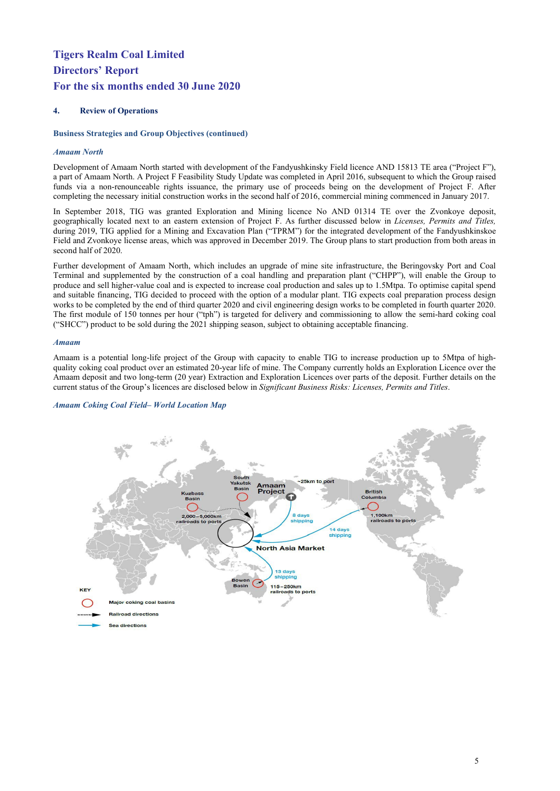#### **4. Review of Operations**

#### **Business Strategies and Group Objectives (continued)**

#### *Amaam North*

Development of Amaam North started with development of the Fandyushkinsky Field licence AND 15813 TE area ("Project F"), a part of Amaam North. A Project F Feasibility Study Update was completed in April 2016, subsequent to which the Group raised funds via a non-renounceable rights issuance, the primary use of proceeds being on the development of Project F. After completing the necessary initial construction works in the second half of 2016, commercial mining commenced in January 2017.

In September 2018, TIG was granted Exploration and Mining licence No AND 01314 TE over the Zvonkoye deposit, geographically located next to an eastern extension of Project F. As further discussed below in *Licenses, Permits and Titles,*  during 2019, TIG applied for a Mining and Excavation Plan ("TPRM") for the integrated development of the Fandyushkinskoe Field and Zvonkoye license areas, which was approved in December 2019. The Group plans to start production from both areas in second half of 2020.

Further development of Amaam North, which includes an upgrade of mine site infrastructure, the Beringovsky Port and Coal Terminal and supplemented by the construction of a coal handling and preparation plant ("CHPP"), will enable the Group to produce and sell higher-value coal and is expected to increase coal production and sales up to 1.5Mtpa. To optimise capital spend and suitable financing, TIG decided to proceed with the option of a modular plant. TIG expects coal preparation process design works to be completed by the end of third quarter 2020 and civil engineering design works to be completed in fourth quarter 2020. The first module of 150 tonnes per hour ("tph") is targeted for delivery and commissioning to allow the semi-hard coking coal ("SHCC") product to be sold during the 2021 shipping season, subject to obtaining acceptable financing.

#### *Amaam*

Amaam is a potential long-life project of the Group with capacity to enable TIG to increase production up to 5Mtpa of highquality coking coal product over an estimated 20-year life of mine. The Company currently holds an Exploration Licence over the Amaam deposit and two long-term (20 year) Extraction and Exploration Licences over parts of the deposit. Further details on the current status of the Group's licences are disclosed below in *Significant Business Risks: Licenses, Permits and Titles*.



#### *Amaam Coking Coal Field– World Location Map*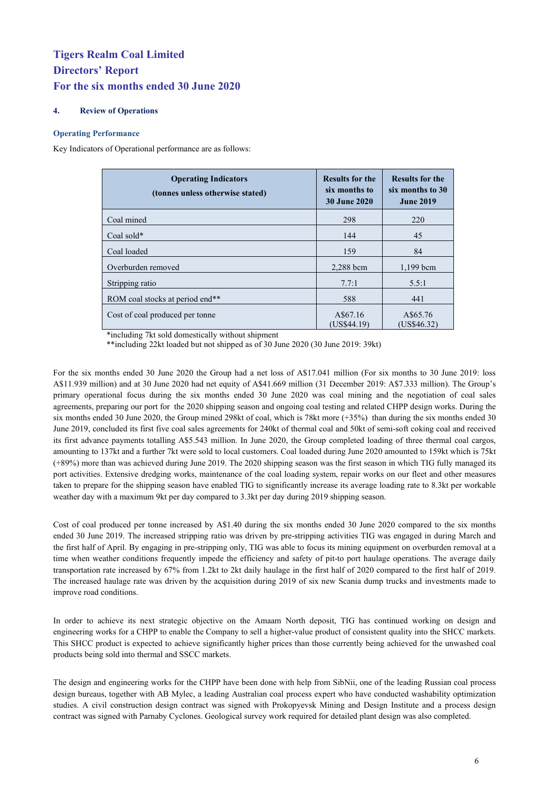#### **4. Review of Operations**

#### **Operating Performance**

Key Indicators of Operational performance are as follows:

| <b>Operating Indicators</b><br>(tonnes unless otherwise stated) | <b>Results for the</b><br>six months to<br><b>30 June 2020</b> | <b>Results for the</b><br>six months to 30<br><b>June 2019</b> |
|-----------------------------------------------------------------|----------------------------------------------------------------|----------------------------------------------------------------|
| Coal mined                                                      | 298                                                            | 220                                                            |
| Coal sold $*$                                                   | 144                                                            | 45                                                             |
| Coal loaded                                                     | 159                                                            | 84                                                             |
| Overburden removed                                              | 2,288 bcm                                                      | $1,199$ bcm                                                    |
| Stripping ratio                                                 | 7.7:1                                                          | 5.5:1                                                          |
| ROM coal stocks at period end**                                 | 588                                                            | 441                                                            |
| Cost of coal produced per tonne                                 | A\$67.16<br>(US\$44.19)                                        | A\$65.76<br>(US\$46.32)                                        |

\*including 7kt sold domestically without shipment

\*\*including 22kt loaded but not shipped as of 30 June 2020 (30 June 2019: 39kt)

For the six months ended 30 June 2020 the Group had a net loss of A\$17.041 million (For six months to 30 June 2019: loss A\$11.939 million) and at 30 June 2020 had net equity of A\$41.669 million (31 December 2019: A\$7.333 million). The Group's primary operational focus during the six months ended 30 June 2020 was coal mining and the negotiation of coal sales agreements, preparing our port for the 2020 shipping season and ongoing coal testing and related CHPP design works. During the six months ended 30 June 2020, the Group mined 298kt of coal, which is 78kt more (+35%) than during the six months ended 30 June 2019, concluded its first five coal sales agreements for 240kt of thermal coal and 50kt of semi-soft coking coal and received its first advance payments totalling A\$5.543 million. In June 2020, the Group completed loading of three thermal coal cargos, amounting to 137kt and a further 7kt were sold to local customers. Coal loaded during June 2020 amounted to 159kt which is 75kt (+89%) more than was achieved during June 2019. The 2020 shipping season was the first season in which TIG fully managed its port activities. Extensive dredging works, maintenance of the coal loading system, repair works on our fleet and other measures taken to prepare for the shipping season have enabled TIG to significantly increase its average loading rate to 8.3kt per workable weather day with a maximum 9kt per day compared to 3.3kt per day during 2019 shipping season.

Cost of coal produced per tonne increased by A\$1.40 during the six months ended 30 June 2020 compared to the six months ended 30 June 2019. The increased stripping ratio was driven by pre-stripping activities TIG was engaged in during March and the first half of April. By engaging in pre-stripping only, TIG was able to focus its mining equipment on overburden removal at a time when weather conditions frequently impede the efficiency and safety of pit-to port haulage operations. The average daily transportation rate increased by 67% from 1.2kt to 2kt daily haulage in the first half of 2020 compared to the first half of 2019. The increased haulage rate was driven by the acquisition during 2019 of six new Scania dump trucks and investments made to improve road conditions.

In order to achieve its next strategic objective on the Amaam North deposit, TIG has continued working on design and engineering works for a CHPP to enable the Company to sell a higher-value product of consistent quality into the SHCC markets. This SHCC product is expected to achieve significantly higher prices than those currently being achieved for the unwashed coal products being sold into thermal and SSCC markets.

The design and engineering works for the CHPP have been done with help from SibNii, one of the leading Russian coal process design bureaus, together with AB Mylec, a leading Australian coal process expert who have conducted washability optimization studies. A civil construction design contract was signed with [Prokopyevsk Mining and Design Institute](http://en.pgpi.su/) and a process design contract was signed with Parnaby Cyclones. Geological survey work required for detailed plant design was also completed.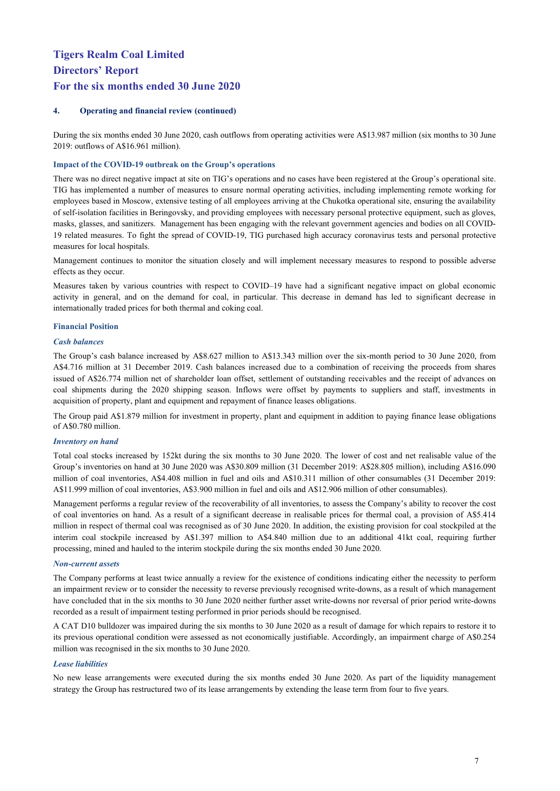#### **4. Operating and financial review (continued)**

During the six months ended 30 June 2020, cash outflows from operating activities were A\$13.987 million (six months to 30 June 2019: outflows of A\$16.961 million).

#### **Impact of the COVID-19 outbreak on the Group's operations**

There was no direct negative impact at site on TIG's operations and no cases have been registered at the Group's operational site. TIG has implemented a number of measures to ensure normal operating activities, including implementing remote working for employees based in Moscow, extensive testing of all employees arriving at the Chukotka operational site, ensuring the availability of self-isolation facilities in Beringovsky, and providing employees with necessary personal protective equipment, such as gloves, masks, glasses, and sanitizers. Management has been engaging with the relevant government agencies and bodies on all COVID-19 related measures. To fight the spread of COVID-19, TIG purchased high accuracy coronavirus tests and personal protective measures for local hospitals.

Management continues to monitor the situation closely and will implement necessary measures to respond to possible adverse effects as they occur.

Measures taken by various countries with respect to COVID–19 have had a significant negative impact on global economic activity in general, and on the demand for coal, in particular. This decrease in demand has led to significant decrease in internationally traded prices for both thermal and coking coal.

#### **Financial Position**

#### *Cash balances*

The Group's cash balance increased by A\$8.627 million to A\$13.343 million over the six-month period to 30 June 2020, from A\$4.716 million at 31 December 2019. Cash balances increased due to a combination of receiving the proceeds from shares issued of A\$26.774 million net of shareholder loan offset, settlement of outstanding receivables and the receipt of advances on coal shipments during the 2020 shipping season. Inflows were offset by payments to suppliers and staff, investments in acquisition of property, plant and equipment and repayment of finance leases obligations.

The Group paid A\$1.879 million for investment in property, plant and equipment in addition to paying finance lease obligations of A\$0.780 million.

#### *Inventory on hand*

Total coal stocks increased by 152kt during the six months to 30 June 2020. The lower of cost and net realisable value of the Group's inventories on hand at 30 June 2020 was A\$30.809 million (31 December 2019: A\$28.805 million), including A\$16.090 million of coal inventories, A\$4.408 million in fuel and oils and A\$10.311 million of other consumables (31 December 2019: A\$11.999 million of coal inventories, A\$3.900 million in fuel and oils and A\$12.906 million of other consumables).

Management performs a regular review of the recoverability of all inventories, to assess the Company's ability to recover the cost of coal inventories on hand. As a result of a significant decrease in realisable prices for thermal coal, a provision of A\$5.414 million in respect of thermal coal was recognised as of 30 June 2020. In addition, the existing provision for coal stockpiled at the interim coal stockpile increased by A\$1.397 million to A\$4.840 million due to an additional 41kt coal, requiring further processing, mined and hauled to the interim stockpile during the six months ended 30 June 2020.

#### *Non-current assets*

The Company performs at least twice annually a review for the existence of conditions indicating either the necessity to perform an impairment review or to consider the necessity to reverse previously recognised write-downs, as a result of which management have concluded that in the six months to 30 June 2020 neither further asset write-downs nor reversal of prior period write-downs recorded as a result of impairment testing performed in prior periods should be recognised.

A CAT D10 bulldozer was impaired during the six months to 30 June 2020 as a result of damage for which repairs to restore it to its previous operational condition were assessed as not economically justifiable. Accordingly, an impairment charge of A\$0.254 million was recognised in the six months to 30 June 2020.

#### *Lease liabilities*

No new lease arrangements were executed during the six months ended 30 June 2020. As part of the liquidity management strategy the Group has restructured two of its lease arrangements by extending the lease term from four to five years.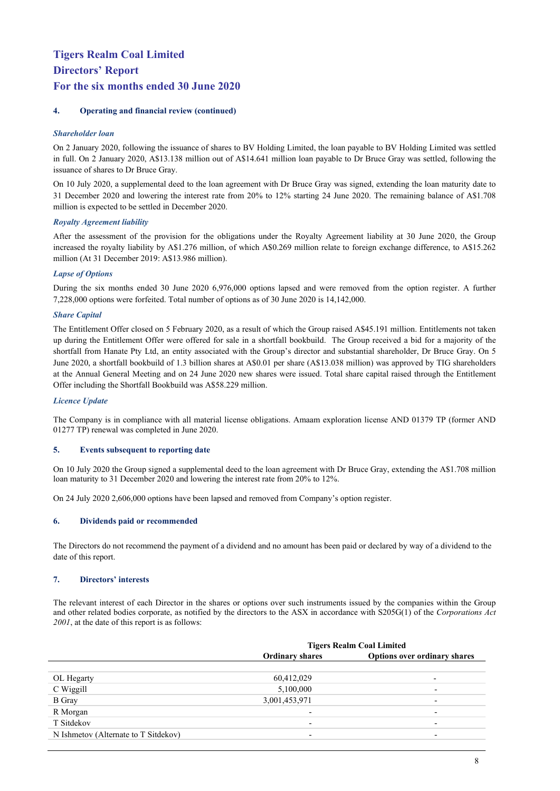#### **4. Operating and financial review (continued)**

#### *Shareholder loan*

On 2 January 2020, following the issuance of shares to BV Holding Limited, the loan payable to BV Holding Limited was settled in full. On 2 January 2020, A\$13.138 million out of A\$14.641 million loan payable to Dr Bruce Gray was settled, following the issuance of shares to Dr Bruce Gray.

On 10 July 2020, a supplemental deed to the loan agreement with Dr Bruce Gray was signed, extending the loan maturity date to 31 December 2020 and lowering the interest rate from 20% to 12% starting 24 June 2020. The remaining balance of A\$1.708 million is expected to be settled in December 2020.

#### *Royalty Agreement liability*

After the assessment of the provision for the obligations under the Royalty Agreement liability at 30 June 2020, the Group increased the royalty liability by A\$1.276 million, of which A\$0.269 million relate to foreign exchange difference, to A\$15.262 million (At 31 December 2019: A\$13.986 million).

#### *Lapse of Options*

During the six months ended 30 June 2020 6,976,000 options lapsed and were removed from the option register. A further 7,228,000 options were forfeited. Total number of options as of 30 June 2020 is 14,142,000.

#### *Share Capital*

The Entitlement Offer closed on 5 February 2020, as a result of which the Group raised A\$45.191 million. Entitlements not taken up during the Entitlement Offer were offered for sale in a shortfall bookbuild. The Group received a bid for a majority of the shortfall from Hanate Pty Ltd, an entity associated with the Group's director and substantial shareholder, Dr Bruce Gray. On 5 June 2020, a shortfall bookbuild of 1.3 billion shares at A\$0.01 per share (A\$13.038 million) was approved by TIG shareholders at the Annual General Meeting and on 24 June 2020 new shares were issued. Total share capital raised through the Entitlement Offer including the Shortfall Bookbuild was A\$58.229 million.

#### *Licence Update*

The Company is in compliance with all material license obligations. Amaam exploration license AND 01379 TP (former AND 01277 TP) renewal was completed in June 2020.

#### **5. Events subsequent to reporting date**

On 10 July 2020 the Group signed a supplemental deed to the loan agreement with Dr Bruce Gray, extending the A\$1.708 million loan maturity to 31 December 2020 and lowering the interest rate from 20% to 12%.

On 24 July 2020 2,606,000 options have been lapsed and removed from Company's option register.

#### **6. Dividends paid or recommended**

The Directors do not recommend the payment of a dividend and no amount has been paid or declared by way of a dividend to the date of this report.

#### **7. Directors' interests**

The relevant interest of each Director in the shares or options over such instruments issued by the companies within the Group and other related bodies corporate, as notified by the directors to the ASX in accordance with S205G(1) of the *Corporations Act 2001*, at the date of this report is as follows:

| <b>Tigers Realm Coal Limited</b> |                                     |  |  |
|----------------------------------|-------------------------------------|--|--|
| <b>Ordinary shares</b>           | <b>Options over ordinary shares</b> |  |  |
|                                  |                                     |  |  |
| 60,412,029                       |                                     |  |  |
| 5,100,000                        |                                     |  |  |
| 3,001,453,971                    |                                     |  |  |
|                                  |                                     |  |  |
|                                  |                                     |  |  |
|                                  |                                     |  |  |
|                                  |                                     |  |  |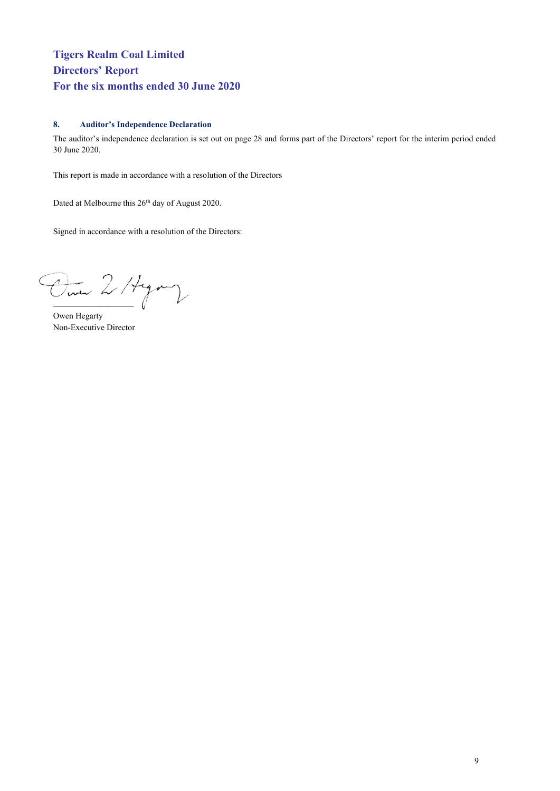#### **8. Auditor's Independence Declaration**

The auditor's independence declaration is set out on page 28 and forms part of the Directors' report for the interim period ended 30 June 2020.

This report is made in accordance with a resolution of the Directors

Dated at Melbourne this 26<sup>th</sup> day of August 2020.

Signed in accordance with a resolution of the Directors:

Dine 2/ Hyang

Owen Hegarty Non-Executive Director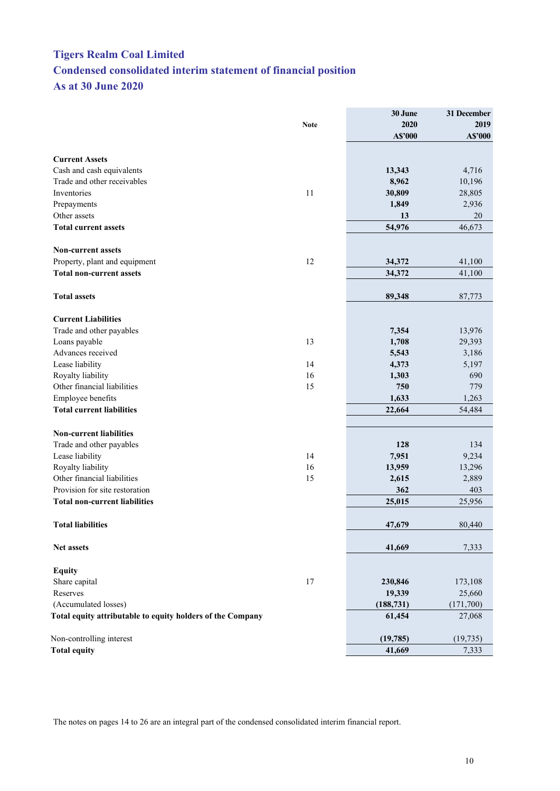## <span id="page-11-0"></span>**Tigers Realm Coal Limited Condensed consolidated interim statement of financial position As at 30 June 2020**

|                                                            |             | 30 June    | 31 December |
|------------------------------------------------------------|-------------|------------|-------------|
|                                                            | <b>Note</b> | 2020       | 2019        |
|                                                            |             | A\$'000    | A\$'000     |
| <b>Current Assets</b>                                      |             |            |             |
| Cash and cash equivalents                                  |             | 13,343     | 4,716       |
| Trade and other receivables                                |             | 8,962      | 10,196      |
| Inventories                                                | 11          | 30,809     | 28,805      |
| Prepayments                                                |             | 1,849      | 2,936       |
| Other assets                                               |             | 13         | 20          |
| <b>Total current assets</b>                                |             | 54,976     | 46,673      |
|                                                            |             |            |             |
| <b>Non-current assets</b>                                  |             |            |             |
| Property, plant and equipment                              | 12          | 34,372     | 41,100      |
| <b>Total non-current assets</b>                            |             | 34,372     | 41,100      |
| <b>Total assets</b>                                        |             | 89,348     | 87,773      |
| <b>Current Liabilities</b>                                 |             |            |             |
| Trade and other payables                                   |             | 7,354      | 13,976      |
| Loans payable                                              | 13          | 1,708      | 29,393      |
| Advances received                                          |             | 5,543      | 3,186       |
| Lease liability                                            | 14          | 4,373      | 5,197       |
| Royalty liability                                          | 16          | 1,303      | 690         |
| Other financial liabilities                                | 15          | 750        | 779         |
| Employee benefits                                          |             | 1,633      | 1,263       |
| <b>Total current liabilities</b>                           |             | 22,664     | 54,484      |
|                                                            |             |            |             |
| <b>Non-current liabilities</b>                             |             |            |             |
| Trade and other payables                                   |             | 128        | 134         |
| Lease liability                                            | 14          | 7,951      | 9,234       |
| Royalty liability                                          | 16          | 13,959     | 13,296      |
| Other financial liabilities                                | 15          | 2,615      | 2,889       |
| Provision for site restoration                             |             | 362        | 403         |
| <b>Total non-current liabilities</b>                       |             | 25,015     | 25,956      |
| <b>Total liabilities</b>                                   |             | 47,679     | 80,440      |
| <b>Net assets</b>                                          |             | 41,669     | 7,333       |
|                                                            |             |            |             |
| <b>Equity</b>                                              |             |            |             |
| Share capital                                              | 17          | 230,846    | 173,108     |
| Reserves                                                   |             | 19,339     | 25,660      |
| (Accumulated losses)                                       |             | (188, 731) | (171,700)   |
| Total equity attributable to equity holders of the Company |             | 61,454     | 27,068      |
| Non-controlling interest                                   |             | (19, 785)  | (19, 735)   |
| <b>Total equity</b>                                        |             | 41,669     | 7,333       |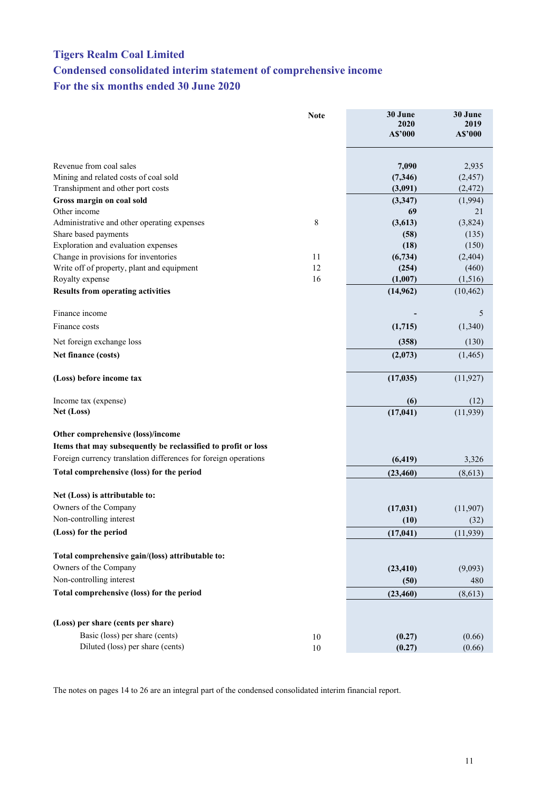## <span id="page-12-0"></span>**Tigers Realm Coal Limited Condensed consolidated interim statement of comprehensive income For the six months ended 30 June 2020**

|                                                                 | <b>Note</b> | 30 June<br>2020<br>A\$'000 | 30 June<br>2019<br>A\$'000 |
|-----------------------------------------------------------------|-------------|----------------------------|----------------------------|
| Revenue from coal sales                                         |             | 7,090                      | 2,935                      |
| Mining and related costs of coal sold                           |             | (7, 346)                   | (2, 457)                   |
| Transhipment and other port costs                               |             | (3,091)                    | (2, 472)                   |
| Gross margin on coal sold                                       |             | (3, 347)                   | (1,994)                    |
| Other income                                                    |             | 69                         | 21                         |
| Administrative and other operating expenses                     | 8           | (3,613)                    | (3,824)                    |
| Share based payments                                            |             | (58)                       | (135)                      |
| Exploration and evaluation expenses                             |             | (18)                       | (150)                      |
| Change in provisions for inventories                            | 11          | (6, 734)                   | (2, 404)                   |
| Write off of property, plant and equipment                      | 12          | (254)                      | (460)                      |
| Royalty expense                                                 | 16          | (1,007)<br>(14, 962)       | (1,516)<br>(10, 462)       |
| <b>Results from operating activities</b>                        |             |                            |                            |
| Finance income                                                  |             |                            | 5                          |
| Finance costs                                                   |             | (1,715)                    | (1,340)                    |
| Net foreign exchange loss                                       |             | (358)                      | (130)                      |
| Net finance (costs)                                             |             | (2,073)                    | (1, 465)                   |
| (Loss) before income tax                                        |             | (17, 035)                  | (11, 927)                  |
| Income tax (expense)                                            |             | (6)                        | (12)                       |
| Net (Loss)                                                      |             | (17, 041)                  | (11,939)                   |
| Other comprehensive (loss)/income                               |             |                            |                            |
| Items that may subsequently be reclassified to profit or loss   |             |                            |                            |
| Foreign currency translation differences for foreign operations |             | (6, 419)                   | 3,326                      |
| Total comprehensive (loss) for the period                       |             | (23, 460)                  | (8,613)                    |
| Net (Loss) is attributable to:                                  |             |                            |                            |
| Owners of the Company                                           |             | (17, 031)                  | (11,907)                   |
| Non-controlling interest                                        |             | (10)                       | (32)                       |
| (Loss) for the period                                           |             | (17, 041)                  | (11, 939)                  |
| Total comprehensive gain/(loss) attributable to:                |             |                            |                            |
| Owners of the Company                                           |             | (23, 410)                  | (9,093)                    |
| Non-controlling interest                                        |             | (50)                       | 480                        |
| Total comprehensive (loss) for the period                       |             | (23, 460)                  | (8,613)                    |
| (Loss) per share (cents per share)                              |             |                            |                            |
| Basic (loss) per share (cents)                                  |             |                            |                            |
| Diluted (loss) per share (cents)                                | 10          | (0.27)                     | (0.66)                     |
|                                                                 | $10\,$      | (0.27)                     | (0.66)                     |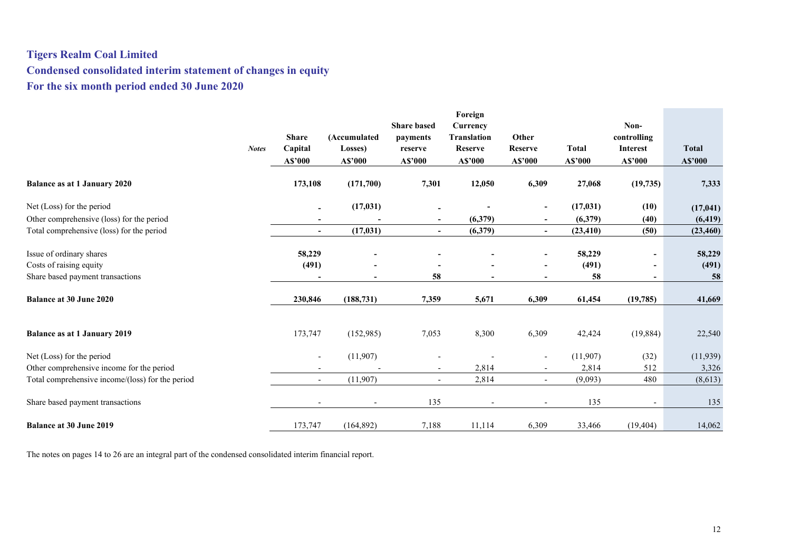## **Tigers Realm Coal Limited Condensed consolidated interim statement of changes in equity For the six month period ended 30 June 2020**

<span id="page-13-0"></span>

| Non-<br><b>Share based</b><br>Currency<br><b>Share</b><br><b>Translation</b><br>Other<br>controlling<br>(Accumulated<br>payments<br><b>Total</b><br>Capital<br><b>Reserve</b><br><b>Total</b><br><b>Reserve</b><br><b>Notes</b><br>Losses)<br>Interest<br>reserve<br>A\$'000<br>A\$'000<br>A\$'000<br>A\$'000<br>A\$'000<br>A\$'000<br>A\$'000<br>A\$'000<br>7,301<br>6,309<br><b>Balance as at 1 January 2020</b><br>173,108<br>(171,700)<br>12,050<br>27,068<br>(19,735)<br>7,333<br>Net (Loss) for the period<br>(17, 031)<br>(17, 031)<br>(10)<br>(17, 041)<br>$\overline{\phantom{a}}$<br>$\blacksquare$<br>Other comprehensive (loss) for the period<br>(6,379)<br>(6, 419)<br>(6,379)<br>(40)<br>$\blacksquare$<br>$\sim$<br>$\overline{a}$<br>(17, 031)<br>Total comprehensive (loss) for the period<br>(6,379)<br>(23, 410)<br>(50)<br>(23, 460)<br>$\overline{\phantom{a}}$<br>$\overline{\phantom{a}}$<br>$\sim$<br>Issue of ordinary shares<br>58,229<br>58,229<br>58,229<br>$\overline{\phantom{a}}$<br>$\overline{\phantom{a}}$<br>$\overline{\phantom{a}}$<br>Costs of raising equity<br>(491)<br>(491)<br>(491)<br>$\overline{\phantom{a}}$<br>58<br>58<br>58<br>Share based payment transactions<br>-<br>$\blacksquare$<br>$\blacksquare$<br><b>Balance at 30 June 2020</b><br>230,846<br>(188, 731)<br>7,359<br>5,671<br>6,309<br>61,454<br>(19, 785)<br>41,669<br>8,300<br><b>Balance as at 1 January 2019</b><br>173,747<br>(152,985)<br>7,053<br>6,309<br>42,424<br>(19, 884)<br>22,540<br>(32)<br>Net (Loss) for the period<br>(11,907)<br>(11,907)<br>(11, 939)<br>$\overline{\phantom{a}}$<br>$\overline{\phantom{a}}$<br>Other comprehensive income for the period<br>2,814<br>2,814<br>512<br>3,326<br>$\sim$<br>$\overline{\phantom{a}}$<br>2,814<br>480<br>Total comprehensive income/(loss) for the period<br>(11,907)<br>(9,093)<br>(8,613)<br>$\overline{\phantom{a}}$<br>$\blacksquare$<br>$\sim$<br>135<br>135<br>Share based payment transactions<br>135<br>$\sim$<br>$\overline{\phantom{a}}$<br><b>Balance at 30 June 2019</b><br>173,747<br>7,188<br>11,114<br>6,309<br>14,062<br>(164, 892)<br>33,466<br>(19, 404) |  |  | Foreign |  |  |
|----------------------------------------------------------------------------------------------------------------------------------------------------------------------------------------------------------------------------------------------------------------------------------------------------------------------------------------------------------------------------------------------------------------------------------------------------------------------------------------------------------------------------------------------------------------------------------------------------------------------------------------------------------------------------------------------------------------------------------------------------------------------------------------------------------------------------------------------------------------------------------------------------------------------------------------------------------------------------------------------------------------------------------------------------------------------------------------------------------------------------------------------------------------------------------------------------------------------------------------------------------------------------------------------------------------------------------------------------------------------------------------------------------------------------------------------------------------------------------------------------------------------------------------------------------------------------------------------------------------------------------------------------------------------------------------------------------------------------------------------------------------------------------------------------------------------------------------------------------------------------------------------------------------------------------------------------------------------------------------------------------------------------------------------------------------------------------------------------------------------------------------------------------|--|--|---------|--|--|
|                                                                                                                                                                                                                                                                                                                                                                                                                                                                                                                                                                                                                                                                                                                                                                                                                                                                                                                                                                                                                                                                                                                                                                                                                                                                                                                                                                                                                                                                                                                                                                                                                                                                                                                                                                                                                                                                                                                                                                                                                                                                                                                                                          |  |  |         |  |  |
|                                                                                                                                                                                                                                                                                                                                                                                                                                                                                                                                                                                                                                                                                                                                                                                                                                                                                                                                                                                                                                                                                                                                                                                                                                                                                                                                                                                                                                                                                                                                                                                                                                                                                                                                                                                                                                                                                                                                                                                                                                                                                                                                                          |  |  |         |  |  |
|                                                                                                                                                                                                                                                                                                                                                                                                                                                                                                                                                                                                                                                                                                                                                                                                                                                                                                                                                                                                                                                                                                                                                                                                                                                                                                                                                                                                                                                                                                                                                                                                                                                                                                                                                                                                                                                                                                                                                                                                                                                                                                                                                          |  |  |         |  |  |
|                                                                                                                                                                                                                                                                                                                                                                                                                                                                                                                                                                                                                                                                                                                                                                                                                                                                                                                                                                                                                                                                                                                                                                                                                                                                                                                                                                                                                                                                                                                                                                                                                                                                                                                                                                                                                                                                                                                                                                                                                                                                                                                                                          |  |  |         |  |  |
|                                                                                                                                                                                                                                                                                                                                                                                                                                                                                                                                                                                                                                                                                                                                                                                                                                                                                                                                                                                                                                                                                                                                                                                                                                                                                                                                                                                                                                                                                                                                                                                                                                                                                                                                                                                                                                                                                                                                                                                                                                                                                                                                                          |  |  |         |  |  |
|                                                                                                                                                                                                                                                                                                                                                                                                                                                                                                                                                                                                                                                                                                                                                                                                                                                                                                                                                                                                                                                                                                                                                                                                                                                                                                                                                                                                                                                                                                                                                                                                                                                                                                                                                                                                                                                                                                                                                                                                                                                                                                                                                          |  |  |         |  |  |
|                                                                                                                                                                                                                                                                                                                                                                                                                                                                                                                                                                                                                                                                                                                                                                                                                                                                                                                                                                                                                                                                                                                                                                                                                                                                                                                                                                                                                                                                                                                                                                                                                                                                                                                                                                                                                                                                                                                                                                                                                                                                                                                                                          |  |  |         |  |  |
|                                                                                                                                                                                                                                                                                                                                                                                                                                                                                                                                                                                                                                                                                                                                                                                                                                                                                                                                                                                                                                                                                                                                                                                                                                                                                                                                                                                                                                                                                                                                                                                                                                                                                                                                                                                                                                                                                                                                                                                                                                                                                                                                                          |  |  |         |  |  |
|                                                                                                                                                                                                                                                                                                                                                                                                                                                                                                                                                                                                                                                                                                                                                                                                                                                                                                                                                                                                                                                                                                                                                                                                                                                                                                                                                                                                                                                                                                                                                                                                                                                                                                                                                                                                                                                                                                                                                                                                                                                                                                                                                          |  |  |         |  |  |
|                                                                                                                                                                                                                                                                                                                                                                                                                                                                                                                                                                                                                                                                                                                                                                                                                                                                                                                                                                                                                                                                                                                                                                                                                                                                                                                                                                                                                                                                                                                                                                                                                                                                                                                                                                                                                                                                                                                                                                                                                                                                                                                                                          |  |  |         |  |  |
|                                                                                                                                                                                                                                                                                                                                                                                                                                                                                                                                                                                                                                                                                                                                                                                                                                                                                                                                                                                                                                                                                                                                                                                                                                                                                                                                                                                                                                                                                                                                                                                                                                                                                                                                                                                                                                                                                                                                                                                                                                                                                                                                                          |  |  |         |  |  |
|                                                                                                                                                                                                                                                                                                                                                                                                                                                                                                                                                                                                                                                                                                                                                                                                                                                                                                                                                                                                                                                                                                                                                                                                                                                                                                                                                                                                                                                                                                                                                                                                                                                                                                                                                                                                                                                                                                                                                                                                                                                                                                                                                          |  |  |         |  |  |
|                                                                                                                                                                                                                                                                                                                                                                                                                                                                                                                                                                                                                                                                                                                                                                                                                                                                                                                                                                                                                                                                                                                                                                                                                                                                                                                                                                                                                                                                                                                                                                                                                                                                                                                                                                                                                                                                                                                                                                                                                                                                                                                                                          |  |  |         |  |  |
|                                                                                                                                                                                                                                                                                                                                                                                                                                                                                                                                                                                                                                                                                                                                                                                                                                                                                                                                                                                                                                                                                                                                                                                                                                                                                                                                                                                                                                                                                                                                                                                                                                                                                                                                                                                                                                                                                                                                                                                                                                                                                                                                                          |  |  |         |  |  |
|                                                                                                                                                                                                                                                                                                                                                                                                                                                                                                                                                                                                                                                                                                                                                                                                                                                                                                                                                                                                                                                                                                                                                                                                                                                                                                                                                                                                                                                                                                                                                                                                                                                                                                                                                                                                                                                                                                                                                                                                                                                                                                                                                          |  |  |         |  |  |
|                                                                                                                                                                                                                                                                                                                                                                                                                                                                                                                                                                                                                                                                                                                                                                                                                                                                                                                                                                                                                                                                                                                                                                                                                                                                                                                                                                                                                                                                                                                                                                                                                                                                                                                                                                                                                                                                                                                                                                                                                                                                                                                                                          |  |  |         |  |  |
|                                                                                                                                                                                                                                                                                                                                                                                                                                                                                                                                                                                                                                                                                                                                                                                                                                                                                                                                                                                                                                                                                                                                                                                                                                                                                                                                                                                                                                                                                                                                                                                                                                                                                                                                                                                                                                                                                                                                                                                                                                                                                                                                                          |  |  |         |  |  |
|                                                                                                                                                                                                                                                                                                                                                                                                                                                                                                                                                                                                                                                                                                                                                                                                                                                                                                                                                                                                                                                                                                                                                                                                                                                                                                                                                                                                                                                                                                                                                                                                                                                                                                                                                                                                                                                                                                                                                                                                                                                                                                                                                          |  |  |         |  |  |
|                                                                                                                                                                                                                                                                                                                                                                                                                                                                                                                                                                                                                                                                                                                                                                                                                                                                                                                                                                                                                                                                                                                                                                                                                                                                                                                                                                                                                                                                                                                                                                                                                                                                                                                                                                                                                                                                                                                                                                                                                                                                                                                                                          |  |  |         |  |  |
|                                                                                                                                                                                                                                                                                                                                                                                                                                                                                                                                                                                                                                                                                                                                                                                                                                                                                                                                                                                                                                                                                                                                                                                                                                                                                                                                                                                                                                                                                                                                                                                                                                                                                                                                                                                                                                                                                                                                                                                                                                                                                                                                                          |  |  |         |  |  |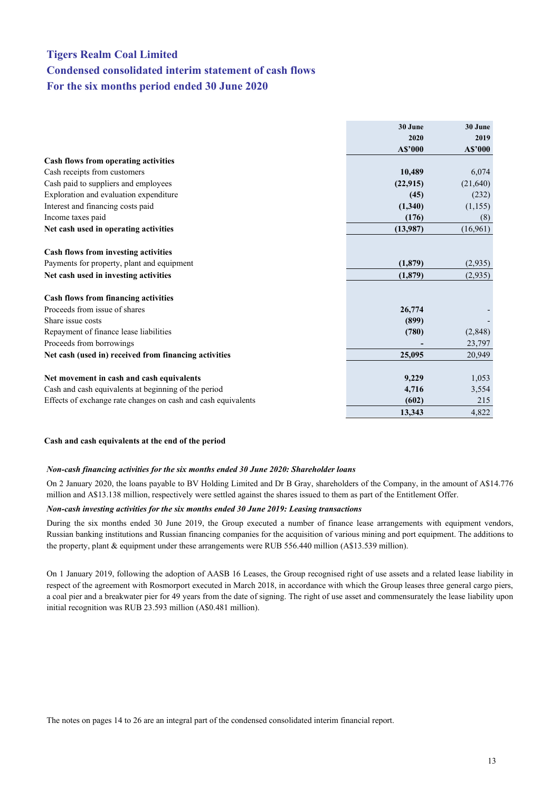## <span id="page-14-0"></span>**Tigers Realm Coal Limited Condensed consolidated interim statement of cash flows For the six months period ended 30 June 2020**

|                                                               | 30 June   | 30 June  |
|---------------------------------------------------------------|-----------|----------|
|                                                               | 2020      | 2019     |
|                                                               | A\$'000   | A\$'000  |
| Cash flows from operating activities                          |           |          |
| Cash receipts from customers                                  | 10,489    | 6,074    |
| Cash paid to suppliers and employees                          | (22, 915) | (21,640) |
| Exploration and evaluation expenditure                        | (45)      | (232)    |
| Interest and financing costs paid                             | (1,340)   | (1,155)  |
| Income taxes paid                                             | (176)     | (8)      |
| Net cash used in operating activities                         | (13,987)  | (16,961) |
|                                                               |           |          |
| Cash flows from investing activities                          |           |          |
| Payments for property, plant and equipment                    | (1, 879)  | (2,935)  |
| Net cash used in investing activities                         | (1,879)   | (2,935)  |
|                                                               |           |          |
| Cash flows from financing activities                          |           |          |
| Proceeds from issue of shares                                 | 26,774    |          |
| Share issue costs                                             | (899)     |          |
| Repayment of finance lease liabilities                        | (780)     | (2,848)  |
| Proceeds from borrowings                                      |           | 23,797   |
| Net cash (used in) received from financing activities         | 25,095    | 20,949   |
|                                                               |           |          |
| Net movement in cash and cash equivalents                     | 9,229     | 1,053    |
| Cash and cash equivalents at beginning of the period          | 4,716     | 3,554    |
| Effects of exchange rate changes on cash and cash equivalents | (602)     | 215      |
|                                                               | 13,343    | 4,822    |

#### **Cash and cash equivalents at the end of the period**

#### *Non-cash financing activities for the six months ended 30 June 2020: Shareholder loans*

On 2 January 2020, the loans payable to BV Holding Limited and Dr B Gray, shareholders of the Company, in the amount of A\$14.776 million and A\$13.138 million, respectively were settled against the shares issued to them as part of the Entitlement Offer.

#### *Non-cash investing activities for the six months ended 30 June 2019: Leasing transactions*

During the six months ended 30 June 2019, the Group executed a number of finance lease arrangements with equipment vendors, Russian banking institutions and Russian financing companies for the acquisition of various mining and port equipment. The additions to the property, plant & equipment under these arrangements were RUB 556.440 million (A\$13.539 million).

On 1 January 2019, following the adoption of AASB 16 Leases, the Group recognised right of use assets and a related lease liability in respect of the agreement with Rosmorport executed in March 2018, in accordance with which the Group leases three general cargo piers, a coal pier and a breakwater pier for 49 years from the date of signing. The right of use asset and commensurately the lease liability upon initial recognition was RUB 23.593 million (A\$0.481 million).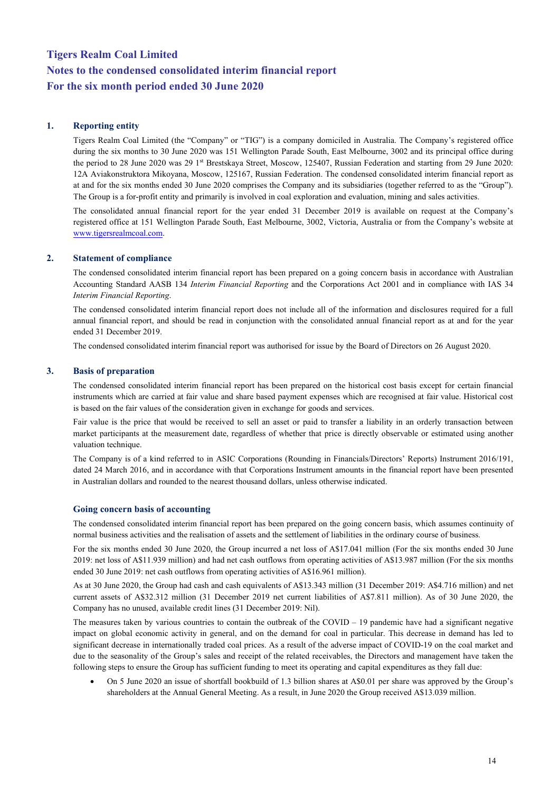#### **1. Reporting entity**

Tigers Realm Coal Limited (the "Company" or "TIG") is a company domiciled in Australia. The Company's registered office during the six months to 30 June 2020 was 151 Wellington Parade South, East Melbourne, 3002 and its principal office during the period to 28 June 2020 was 29 1st Brestskaya Street, Moscow, 125407, Russian Federation and starting from 29 June 2020: 12A Aviakonstruktora Mikoyana, Moscow, 125167, Russian Federation. The condensed consolidated interim financial report as at and for the six months ended 30 June 2020 comprises the Company and its subsidiaries (together referred to as the "Group"). The Group is a for-profit entity and primarily is involved in coal exploration and evaluation, mining and sales activities.

The consolidated annual financial report for the year ended 31 December 2019 is available on request at the Company's registered office at 151 Wellington Parade South, East Melbourne, 3002, Victoria, Australia or from the Company's website at [www.tigersrealmcoal.com.](http://www.tigersrealmcoal.com/)

#### **2. Statement of compliance**

The condensed consolidated interim financial report has been prepared on a going concern basis in accordance with Australian Accounting Standard AASB 134 *Interim Financial Reporting* and the Corporations Act 2001 and in compliance with IAS 34 *Interim Financial Reporting*.

The condensed consolidated interim financial report does not include all of the information and disclosures required for a full annual financial report, and should be read in conjunction with the consolidated annual financial report as at and for the year ended 31 December 2019.

The condensed consolidated interim financial report was authorised for issue by the Board of Directors on 26 August 2020.

#### **3. Basis of preparation**

The condensed consolidated interim financial report has been prepared on the historical cost basis except for certain financial instruments which are carried at fair value and share based payment expenses which are recognised at fair value. Historical cost is based on the fair values of the consideration given in exchange for goods and services.

Fair value is the price that would be received to sell an asset or paid to transfer a liability in an orderly transaction between market participants at the measurement date, regardless of whether that price is directly observable or estimated using another valuation technique.

The Company is of a kind referred to in ASIC Corporations (Rounding in Financials/Directors' Reports) Instrument 2016/191, dated 24 March 2016, and in accordance with that Corporations Instrument amounts in the financial report have been presented in Australian dollars and rounded to the nearest thousand dollars, unless otherwise indicated.

#### **Going concern basis of accounting**

The condensed consolidated interim financial report has been prepared on the going concern basis, which assumes continuity of normal business activities and the realisation of assets and the settlement of liabilities in the ordinary course of business.

For the six months ended 30 June 2020, the Group incurred a net loss of A\$17.041 million (For the six months ended 30 June 2019: net loss of A\$11.939 million) and had net cash outflows from operating activities of A\$13.987 million (For the six months ended 30 June 2019: net cash outflows from operating activities of A\$16.961 million).

As at 30 June 2020, the Group had cash and cash equivalents of A\$13.343 million (31 December 2019: A\$4.716 million) and net current assets of A\$32.312 million (31 December 2019 net current liabilities of A\$7.811 million). As of 30 June 2020, the Company has no unused, available credit lines (31 December 2019: Nil).

The measures taken by various countries to contain the outbreak of the COVID  $-19$  pandemic have had a significant negative impact on global economic activity in general, and on the demand for coal in particular. This decrease in demand has led to significant decrease in internationally traded coal prices. As a result of the adverse impact of COVID-19 on the coal market and due to the seasonality of the Group's sales and receipt of the related receivables, the Directors and management have taken the following steps to ensure the Group has sufficient funding to meet its operating and capital expenditures as they fall due:

• On 5 June 2020 an issue of shortfall bookbuild of 1.3 billion shares at A\$0.01 per share was approved by the Group's shareholders at the Annual General Meeting. As a result, in June 2020 the Group received A\$13.039 million.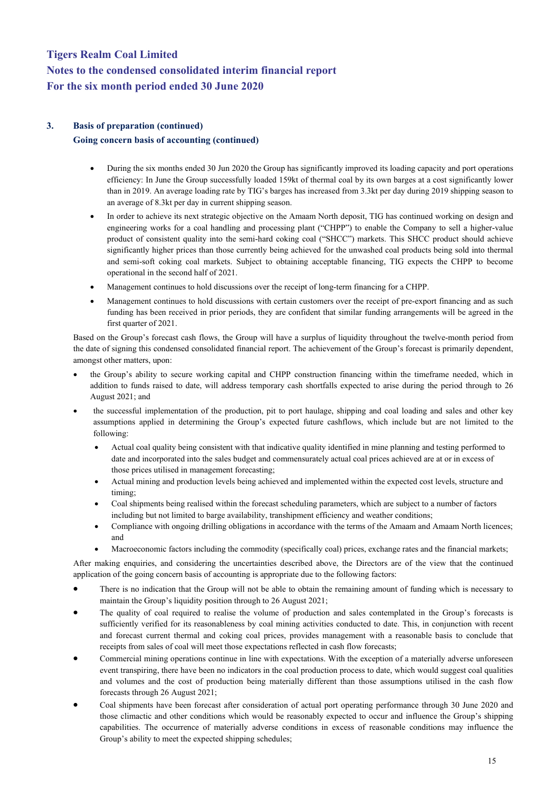#### **3. Basis of preparation (continued)**

#### **Going concern basis of accounting (continued)**

- During the six months ended 30 Jun 2020 the Group has significantly improved its loading capacity and port operations efficiency: In June the Group successfully loaded 159kt of thermal coal by its own barges at a cost significantly lower than in 2019. An average loading rate by TIG's barges has increased from 3.3kt per day during 2019 shipping season to an average of 8.3kt per day in current shipping season.
- In order to achieve its next strategic objective on the Amaam North deposit, TIG has continued working on design and engineering works for a coal handling and processing plant ("CHPP") to enable the Company to sell a higher-value product of consistent quality into the semi-hard coking coal ("SHCC") markets. This SHCC product should achieve significantly higher prices than those currently being achieved for the unwashed coal products being sold into thermal and semi-soft coking coal markets. Subject to obtaining acceptable financing, TIG expects the CHPP to become operational in the second half of 2021.
- Management continues to hold discussions over the receipt of long-term financing for a CHPP.
- Management continues to hold discussions with certain customers over the receipt of pre-export financing and as such funding has been received in prior periods, they are confident that similar funding arrangements will be agreed in the first quarter of 2021.

Based on the Group's forecast cash flows, the Group will have a surplus of liquidity throughout the twelve-month period from the date of signing this condensed consolidated financial report. The achievement of the Group's forecast is primarily dependent, amongst other matters, upon:

- the Group's ability to secure working capital and CHPP construction financing within the timeframe needed, which in addition to funds raised to date, will address temporary cash shortfalls expected to arise during the period through to 26 August 2021; and
- the successful implementation of the production, pit to port haulage, shipping and coal loading and sales and other key assumptions applied in determining the Group's expected future cashflows, which include but are not limited to the following:
	- Actual coal quality being consistent with that indicative quality identified in mine planning and testing performed to date and incorporated into the sales budget and commensurately actual coal prices achieved are at or in excess of those prices utilised in management forecasting;
	- Actual mining and production levels being achieved and implemented within the expected cost levels, structure and timing;
	- Coal shipments being realised within the forecast scheduling parameters, which are subject to a number of factors including but not limited to barge availability, transhipment efficiency and weather conditions;
	- Compliance with ongoing drilling obligations in accordance with the terms of the Amaam and Amaam North licences; and
	- Macroeconomic factors including the commodity (specifically coal) prices, exchange rates and the financial markets;

After making enquiries, and considering the uncertainties described above, the Directors are of the view that the continued application of the going concern basis of accounting is appropriate due to the following factors:

- There is no indication that the Group will not be able to obtain the remaining amount of funding which is necessary to maintain the Group's liquidity position through to 26 August 2021;
- The quality of coal required to realise the volume of production and sales contemplated in the Group's forecasts is sufficiently verified for its reasonableness by coal mining activities conducted to date. This, in conjunction with recent and forecast current thermal and coking coal prices, provides management with a reasonable basis to conclude that receipts from sales of coal will meet those expectations reflected in cash flow forecasts;
- Commercial mining operations continue in line with expectations. With the exception of a materially adverse unforeseen event transpiring, there have been no indicators in the coal production process to date, which would suggest coal qualities and volumes and the cost of production being materially different than those assumptions utilised in the cash flow forecasts through 26 August 2021;
- Coal shipments have been forecast after consideration of actual port operating performance through 30 June 2020 and those climactic and other conditions which would be reasonably expected to occur and influence the Group's shipping capabilities. The occurrence of materially adverse conditions in excess of reasonable conditions may influence the Group's ability to meet the expected shipping schedules;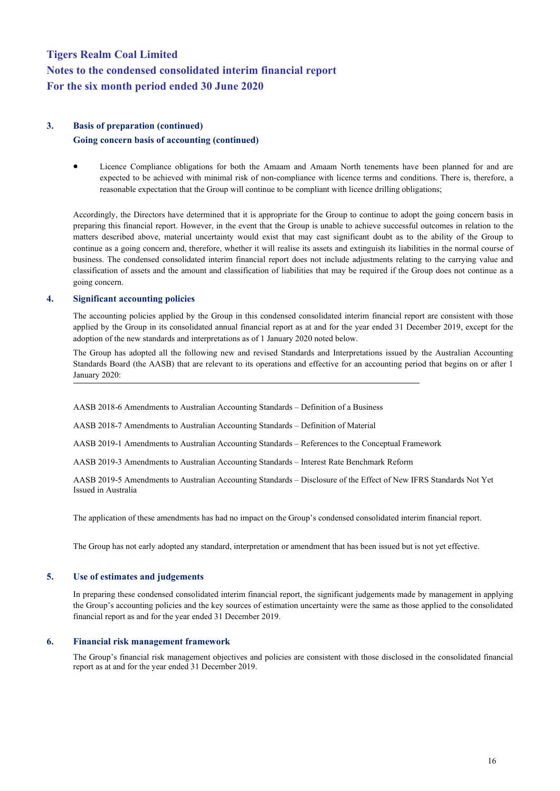#### **3. Basis of preparation (continued)**

#### **Going concern basis of accounting (continued)**

• Licence Compliance obligations for both the Amaam and Amaam North tenements have been planned for and are expected to be achieved with minimal risk of non-compliance with licence terms and conditions. There is, therefore, a reasonable expectation that the Group will continue to be compliant with licence drilling obligations;

Accordingly, the Directors have determined that it is appropriate for the Group to continue to adopt the going concern basis in preparing this financial report. However, in the event that the Group is unable to achieve successful outcomes in relation to the matters described above, material uncertainty would exist that may cast significant doubt as to the ability of the Group to continue as a going concern and, therefore, whether it will realise its assets and extinguish its liabilities in the normal course of business. The condensed consolidated interim financial report does not include adjustments relating to the carrying value and classification of assets and the amount and classification of liabilities that may be required if the Group does not continue as a going concern.

#### **4. Significant accounting policies**

The accounting policies applied by the Group in this condensed consolidated interim financial report are consistent with those applied by the Group in its consolidated annual financial report as at and for the year ended 31 December 2019, except for the adoption of the new standards and interpretations as of 1 January 2020 noted below.

The Group has adopted all the following new and revised Standards and Interpretations issued by the Australian Accounting Standards Board (the AASB) that are relevant to its operations and effective for an accounting period that begins on or after 1 January 2020:

AASB 2018-6 Amendments to Australian Accounting Standards – Definition of a Business

AASB 2018-7 Amendments to Australian Accounting Standards – Definition of Material

AASB 2019-1 Amendments to Australian Accounting Standards – References to the Conceptual Framework

AASB 2019-3 Amendments to Australian Accounting Standards – Interest Rate Benchmark Reform

AASB 2019-5 Amendments to Australian Accounting Standards – Disclosure of the Effect of New IFRS Standards Not Yet Issued in Australia

The application of these amendments has had no impact on the Group's condensed consolidated interim financial report.

The Group has not early adopted any standard, interpretation or amendment that has been issued but is not yet effective.

#### **5. Use of estimates and judgements**

In preparing these condensed consolidated interim financial report, the significant judgements made by management in applying the Group's accounting policies and the key sources of estimation uncertainty were the same as those applied to the consolidated financial report as and for the year ended 31 December 2019.

#### **6. Financial risk management framework**

The Group's financial risk management objectives and policies are consistent with those disclosed in the consolidated financial report as at and for the year ended 31 December 2019.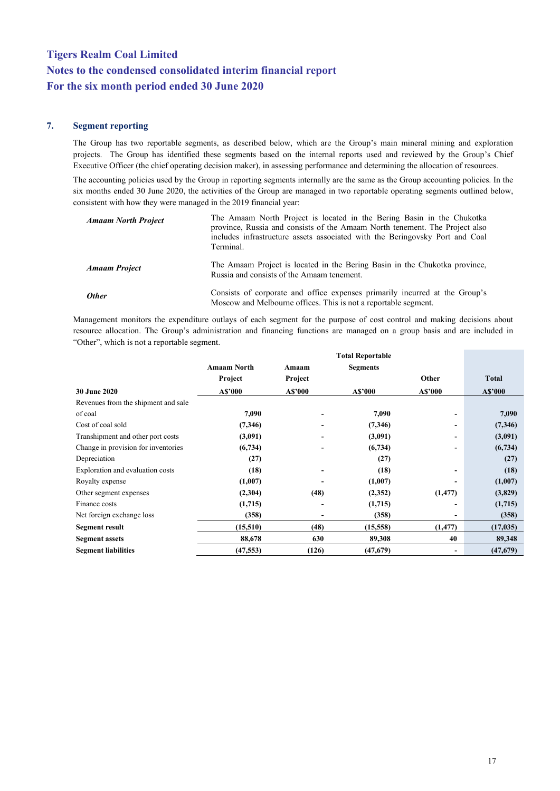#### **7. Segment reporting**

The Group has two reportable segments, as described below, which are the Group's main mineral mining and exploration projects. The Group has identified these segments based on the internal reports used and reviewed by the Group's Chief Executive Officer (the chief operating decision maker), in assessing performance and determining the allocation of resources.

The accounting policies used by the Group in reporting segments internally are the same as the Group accounting policies. In the six months ended 30 June 2020, the activities of the Group are managed in two reportable operating segments outlined below, consistent with how they were managed in the 2019 financial year:

| <b>Amaam North Project</b> | The Amaam North Project is located in the Bering Basin in the Chukotka<br>province, Russia and consists of the Amaam North tenement. The Project also<br>includes infrastructure assets associated with the Beringovsky Port and Coal<br>Terminal. |
|----------------------------|----------------------------------------------------------------------------------------------------------------------------------------------------------------------------------------------------------------------------------------------------|
| <b>Amaam Project</b>       | The Amaam Project is located in the Bering Basin in the Chukotka province,<br>Russia and consists of the Amaam tenement.                                                                                                                           |
| <b>Other</b>               | Consists of corporate and office expenses primarily incurred at the Group's<br>Moscow and Melbourne offices. This is not a reportable segment.                                                                                                     |

Management monitors the expenditure outlays of each segment for the purpose of cost control and making decisions about resource allocation. The Group's administration and financing functions are managed on a group basis and are included in "Other", which is not a reportable segment.

|                                     |                    |                          | Total Reportable |          |              |
|-------------------------------------|--------------------|--------------------------|------------------|----------|--------------|
|                                     | <b>Amaam North</b> | Amaam                    | <b>Segments</b>  |          |              |
|                                     | Project            | Project                  |                  | Other    | <b>Total</b> |
| <b>30 June 2020</b>                 | A\$'000            | A\$'000                  | A\$'000          | A\$'000  | A\$'000      |
| Revenues from the shipment and sale |                    |                          |                  |          |              |
| of coal                             | 7,090              |                          | 7,090            |          | 7,090        |
| Cost of coal sold                   | (7,346)            | $\overline{\phantom{0}}$ | (7,346)          |          | (7,346)      |
| Transhipment and other port costs   | (3,091)            |                          | (3,091)          |          | (3,091)      |
| Change in provision for inventories | (6,734)            |                          | (6,734)          |          | (6, 734)     |
| Depreciation                        | (27)               |                          | (27)             |          | (27)         |
| Exploration and evaluation costs    | (18)               | $\overline{\phantom{a}}$ | (18)             | ٠        | (18)         |
| Royalty expense                     | (1,007)            |                          | (1,007)          |          | (1,007)      |
| Other segment expenses              | (2,304)            | (48)                     | (2,352)          | (1, 477) | (3,829)      |
| Finance costs                       | (1,715)            | $\overline{\phantom{0}}$ | (1,715)          |          | (1,715)      |
| Net foreign exchange loss           | (358)              | $\overline{\phantom{a}}$ | (358)            | ٠        | (358)        |
| Segment result                      | (15,510)           | (48)                     | (15,558)         | (1, 477) | (17, 035)    |
| <b>Segment assets</b>               | 88,678             | 630                      | 89,308           | 40       | 89,348       |
| <b>Segment liabilities</b>          | (47, 553)          | (126)                    | (47, 679)        |          | (47, 679)    |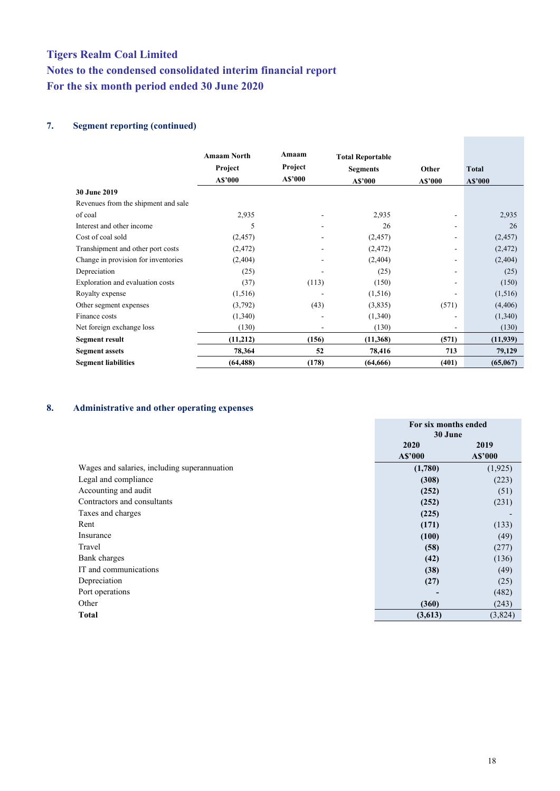#### **7. Segment reporting (continued)**

|                                     | <b>Amaam North</b><br>Project<br>A\$'000 | Amaam<br>Project<br>A\$'000 | <b>Total Reportable</b><br><b>Segments</b><br>A\$'000 | Other<br>A\$'000 | <b>Total</b><br>A\$'000 |
|-------------------------------------|------------------------------------------|-----------------------------|-------------------------------------------------------|------------------|-------------------------|
| 30 June 2019                        |                                          |                             |                                                       |                  |                         |
| Revenues from the shipment and sale |                                          |                             |                                                       |                  |                         |
| of coal                             | 2,935                                    |                             | 2,935                                                 |                  | 2,935                   |
| Interest and other income           | 5                                        |                             | 26                                                    | ۰                | 26                      |
| Cost of coal sold                   | (2,457)                                  |                             | (2,457)                                               | ۰                | (2, 457)                |
| Transhipment and other port costs   | (2, 472)                                 | ۰                           | (2, 472)                                              | ۰                | (2, 472)                |
| Change in provision for inventories | (2,404)                                  |                             | (2, 404)                                              |                  | (2, 404)                |
| Depreciation                        | (25)                                     |                             | (25)                                                  |                  | (25)                    |
| Exploration and evaluation costs    | (37)                                     | (113)                       | (150)                                                 |                  | (150)                   |
| Royalty expense                     | (1,516)                                  |                             | (1,516)                                               |                  | (1,516)                 |
| Other segment expenses              | (3,792)                                  | (43)                        | (3,835)                                               | (571)            | (4, 406)                |
| Finance costs                       | (1,340)                                  |                             | (1,340)                                               |                  | (1,340)                 |
| Net foreign exchange loss           | (130)                                    | ۰                           | (130)                                                 | ۰                | (130)                   |
| <b>Segment result</b>               | (11,212)                                 | (156)                       | (11,368)                                              | (571)            | (11,939)                |
| <b>Segment assets</b>               | 78,364                                   | 52                          | 78,416                                                | 713              | 79,129                  |
| <b>Segment liabilities</b>          | (64, 488)                                | (178)                       | (64, 666)                                             | (401)            | (65,067)                |

#### **8. Administrative and other operating expenses**

|                                              | For six months ended |          |
|----------------------------------------------|----------------------|----------|
|                                              | 30 June              |          |
|                                              | 2020                 | 2019     |
|                                              | A\$'000              | A\$'000  |
| Wages and salaries, including superannuation | (1,780)              | (1, 925) |
| Legal and compliance                         | (308)                | (223)    |
| Accounting and audit                         | (252)                | (51)     |
| Contractors and consultants                  | (252)                | (231)    |
| Taxes and charges                            | (225)                |          |
| Rent                                         | (171)                | (133)    |
| Insurance                                    | (100)                | (49)     |
| Travel                                       | (58)                 | (277)    |
| Bank charges                                 | (42)                 | (136)    |
| IT and communications                        | (38)                 | (49)     |
| Depreciation                                 | (27)                 | (25)     |
| Port operations                              |                      | (482)    |
| Other                                        | (360)                | (243)    |
| <b>Total</b>                                 | (3,613)              | (3,824)  |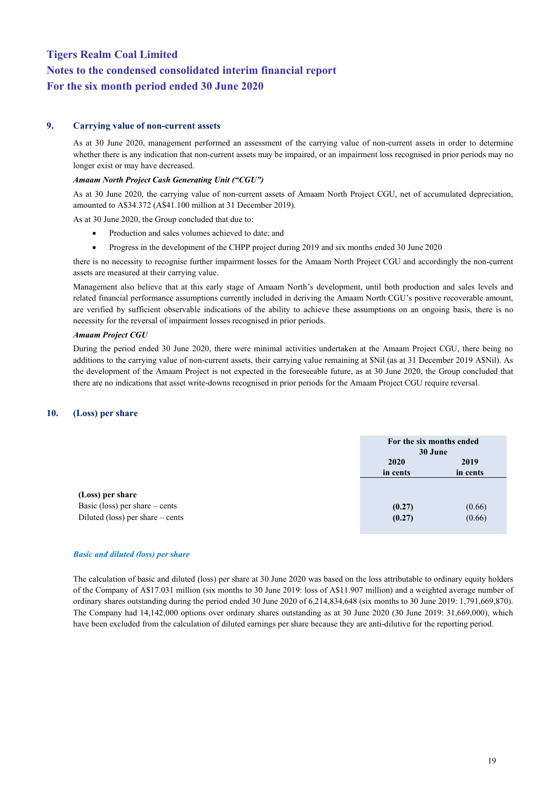#### **9. Carrying value of non-current assets**

As at 30 June 2020, management performed an assessment of the carrying value of non-current assets in order to determine whether there is any indication that non-current assets may be impaired, or an impairment loss recognised in prior periods may no longer exist or may have decreased.

#### *Amaam North Project Cash Generating Unit ("CGU")*

As at 30 June 2020, the carrying value of non-current assets of Amaam North Project CGU, net of accumulated depreciation, amounted to A\$34.372 (A\$41.100 million at 31 December 2019).

As at 30 June 2020, the Group concluded that due to:

- Production and sales volumes achieved to date; and
- Progress in the development of the CHPP project during 2019 and six months ended 30 June 2020

there is no necessity to recognise further [impairment losse](javascript:;)s for the Amaam North Project CGU and accordingly the non-current assets are measured at their carrying value.

Management also believe that at this early stage of Amaam North's development, until both production and sales levels and related financial performance assumptions currently included in deriving the Amaam North CGU's positive recoverable amount, are verified by sufficient observable indications of the ability to achieve these assumptions on an ongoing basis, there is no necessity for the reversal of impairment losses recognised in prior periods.

#### *Amaam Project CGU*

During the period ended 30 June 2020, there were minimal activities undertaken at the Amaam Project CGU, there being no additions to the carrying value of non-current assets, their carrying value remaining at \$Nil (as at 31 December 2019 A\$Nil). As the development of the Amaam Project is not expected in the foreseeable future, as at 30 June 2020, the Group concluded that there are no indications that asset write-downs recognised in prior periods for the Amaam Project CGU require reversal.

#### **10. (Loss) per share**

|                                    | For the six months ended<br>30 June |          |
|------------------------------------|-------------------------------------|----------|
|                                    | 2020                                | 2019     |
|                                    | in cents                            | in cents |
|                                    |                                     |          |
| (Loss) per share                   |                                     |          |
| Basic (loss) per share $-$ cents   | (0.27)                              | (0.66)   |
| Diluted (loss) per share $-$ cents | (0.27)                              | (0.66)   |

#### *Basic and diluted (loss) per share*

The calculation of basic and diluted (loss) per share at 30 June 2020 was based on the loss attributable to ordinary equity holders of the Company of A\$17.031 million (six months to 30 June 2019: loss of A\$11.907 million) and a weighted average number of ordinary shares outstanding during the period ended 30 June 2020 of 6,214,834,648 (six months to 30 June 2019: 1,791,669,870). The Company had 14,142,000 options over ordinary shares outstanding as at 30 June 2020 (30 June 2019: 31,669,000), which have been excluded from the calculation of diluted earnings per share because they are anti-dilutive for the reporting period.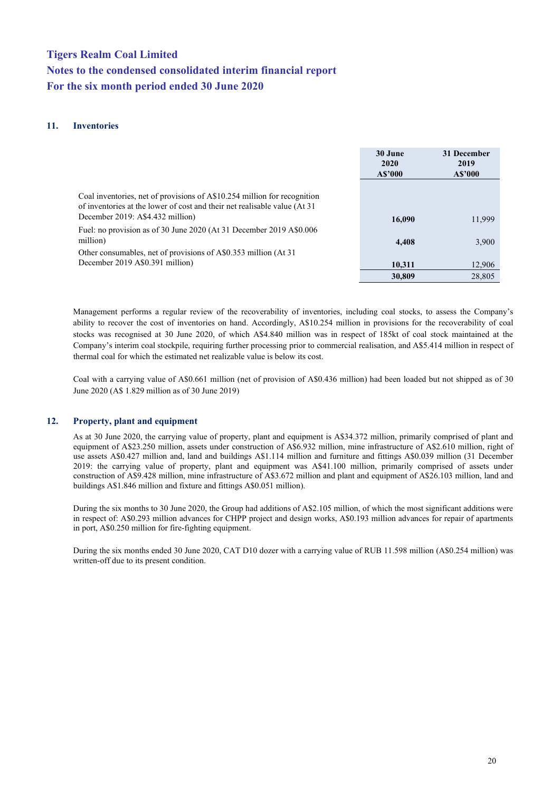#### **11. Inventories**

|                                                                                                                                                                                            | 30 June<br><b>2020</b><br>A\$'000 | 31 December<br>2019<br>A\$'000 |
|--------------------------------------------------------------------------------------------------------------------------------------------------------------------------------------------|-----------------------------------|--------------------------------|
| Coal inventories, net of provisions of A\$10.254 million for recognition<br>of inventories at the lower of cost and their net realisable value (At 31)<br>December 2019: A\$4.432 million) | 16,090                            | 11,999                         |
| Fuel: no provision as of 30 June 2020 (At 31 December 2019 A\$0.006<br>million)                                                                                                            | 4,408                             | 3,900                          |
| Other consumables, net of provisions of A\$0.353 million (At 31)<br>December 2019 A\$0.391 million)                                                                                        | 10,311<br>30,809                  | 12,906<br>28,805               |

Management performs a regular review of the recoverability of inventories, including coal stocks, to assess the Company's ability to recover the cost of inventories on hand. Accordingly, A\$10.254 million in provisions for the recoverability of coal stocks was recognised at 30 June 2020, of which A\$4.840 million was in respect of 185kt of coal stock maintained at the Company's interim coal stockpile, requiring further processing prior to commercial realisation, and A\$5.414 million in respect of thermal coal for which the estimated net realizable value is below its cost.

Coal with a carrying value of A\$0.661 million (net of provision of A\$0.436 million) had been loaded but not shipped as of 30 June 2020 (A\$ 1.829 million as of 30 June 2019)

#### **12. Property, plant and equipment**

As at 30 June 2020, the carrying value of property, plant and equipment is A\$34.372 million, primarily comprised of plant and equipment of A\$23.250 million, assets under construction of A\$6.932 million, mine infrastructure of A\$2.610 million, right of use assets A\$0.427 million and, land and buildings A\$1.114 million and furniture and fittings A\$0.039 million (31 December 2019: the carrying value of property, plant and equipment was A\$41.100 million, primarily comprised of assets under construction of A\$9.428 million, mine infrastructure of A\$3.672 million and plant and equipment of A\$26.103 million, land and buildings A\$1.846 million and fixture and fittings A\$0.051 million).

During the six months to 30 June 2020, the Group had additions of A\$2.105 million, of which the most significant additions were in respect of: A\$0.293 million advances for CHPP project and design works, A\$0.193 million advances for repair of apartments in port, A\$0.250 million for fire-fighting equipment.

During the six months ended 30 June 2020, CAT D10 dozer with a carrying value of RUB 11.598 million (A\$0.254 million) was written-off due to its present condition.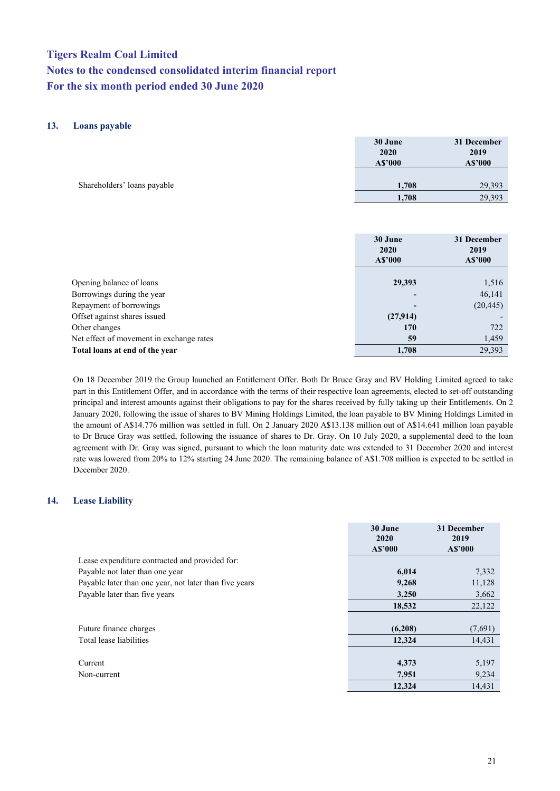#### **13. Loans payable**

|                             | 30 June<br>2020<br>A\$'000 | 31 December<br>2019<br>A\$'000 |
|-----------------------------|----------------------------|--------------------------------|
| Shareholders' loans payable | 1,708                      | 29,393                         |
|                             | 1,708                      | 29,393                         |

|                                          | 30 June<br>2020<br>A\$'000 | 31 December<br>2019<br>A\$'000 |
|------------------------------------------|----------------------------|--------------------------------|
|                                          |                            |                                |
| Opening balance of loans                 | 29,393                     | 1,516                          |
| Borrowings during the year               |                            | 46,141                         |
| Repayment of borrowings                  |                            | (20, 445)                      |
| Offset against shares issued             | (27,914)                   |                                |
| Other changes                            | 170                        | 722                            |
| Net effect of movement in exchange rates | 59                         | 1,459                          |
| Total loans at end of the year           | 1.708                      | 29.393                         |

On 18 December 2019 the Group launched an Entitlement Offer. Both Dr Bruce Gray and BV Holding Limited agreed to take part in this Entitlement Offer, and in accordance with the terms of their respective loan agreements, elected to set-off outstanding principal and interest amounts against their obligations to pay for the shares received by fully taking up their Entitlements. On 2 January 2020, following the issue of shares to BV Mining Holdings Limited, the loan payable to BV Mining Holdings Limited in the amount of A\$14.776 million was settled in full. On 2 January 2020 A\$13.138 million out of A\$14.641 million loan payable to Dr Bruce Gray was settled, following the issuance of shares to Dr. Gray. On 10 July 2020, a supplemental deed to the loan agreement with Dr. Gray was signed, pursuant to which the loan maturity date was extended to 31 December 2020 and interest rate was lowered from 20% to 12% starting 24 June 2020. The remaining balance of A\$1.708 million is expected to be settled in December 2020.

#### **14. Lease Liability**

|                                                        | 30 June<br>2020<br>A\$'000 | 31 December<br>2019<br>A\$'000 |
|--------------------------------------------------------|----------------------------|--------------------------------|
| Lease expenditure contracted and provided for:         |                            |                                |
| Payable not later than one year                        | 6,014                      | 7,332                          |
| Payable later than one year, not later than five years | 9,268                      | 11,128                         |
| Payable later than five years                          | 3,250                      | 3,662                          |
|                                                        | 18,532                     | 22,122                         |
|                                                        |                            |                                |
| Future finance charges                                 | (6,208)                    | (7,691)                        |
| Total lease liabilities                                | 12,324                     | 14,431                         |
|                                                        |                            |                                |
| Current                                                | 4,373                      | 5,197                          |
| Non-current                                            | 7,951                      | 9,234                          |
|                                                        | 12.324                     | 14.431                         |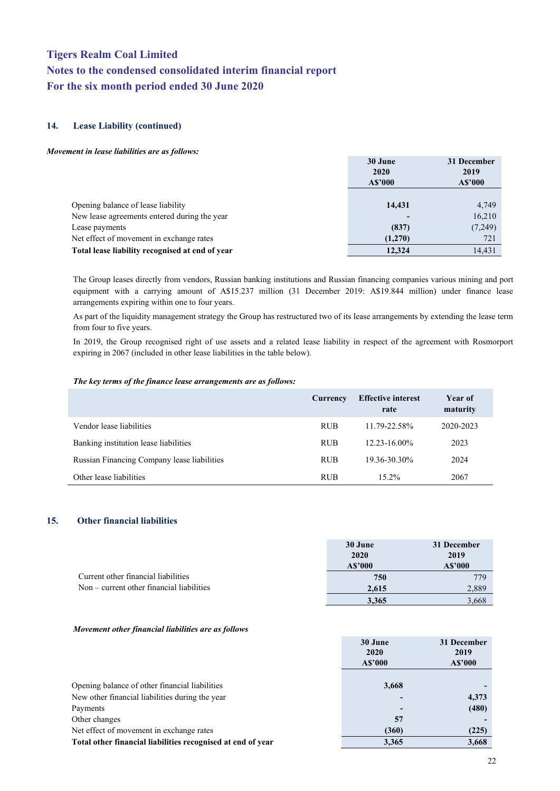#### **14. Lease Liability (continued)**

#### *Movement in lease liabilities are as follows:*

|                                                 | 30 June<br>2020<br>A\$'000 | 31 December<br>2019<br>A\$'000 |
|-------------------------------------------------|----------------------------|--------------------------------|
|                                                 |                            |                                |
| Opening balance of lease liability              | 14,431                     | 4,749                          |
| New lease agreements entered during the year    |                            | 16,210                         |
| Lease payments                                  | (837)                      | (7,249)                        |
| Net effect of movement in exchange rates        | (1,270)                    | 721                            |
| Total lease liability recognised at end of year | 12.324                     | 14,431                         |

The Group leases directly from vendors, Russian banking institutions and Russian financing companies various mining and port equipment with a carrying amount of A\$15.237 million (31 December 2019: A\$19.844 million) under finance lease arrangements expiring within one to four years.

As part of the liquidity management strategy the Group has restructured two of its lease arrangements by extending the lease term from four to five years.

In 2019, the Group recognised right of use assets and a related lease liability in respect of the agreement with Rosmorport expiring in 2067 (included in other lease liabilities in the table below).

#### *The key terms of the finance lease arrangements are as follows:*

|                                             | Currency   | <b>Effective interest</b><br>rate | Year of<br>maturity |
|---------------------------------------------|------------|-----------------------------------|---------------------|
| Vendor lease liabilities                    | <b>RUB</b> | 11.79-22.58%                      | 2020-2023           |
| Banking institution lease liabilities       | <b>RUB</b> | $12.23 - 16.00\%$                 | 2023                |
| Russian Financing Company lease liabilities | <b>RUB</b> | 19.36-30.30%                      | 2024                |
| Other lease liabilities                     | <b>RUB</b> | $15.2\%$                          | 2067                |

#### **15. Other financial liabilities**

|                                           | 30 June<br>2020 | 31 December<br>2019 |
|-------------------------------------------|-----------------|---------------------|
|                                           | A\$'000         | A\$'000             |
| Current other financial liabilities       | 750             | 779                 |
| Non – current other financial liabilities | 2.615           | 2.889               |
|                                           | 3.365           | 3,668               |

#### *Movement other financial liabilities are as follows*

|                                                             | 2020<br>A\$'000 | 2019<br>A\$'000 |
|-------------------------------------------------------------|-----------------|-----------------|
| Opening balance of other financial liabilities              | 3,668           |                 |
| New other financial liabilities during the year             |                 | 4,373           |
| Payments                                                    |                 | (480)           |
| Other changes                                               | 57              |                 |
| Net effect of movement in exchange rates                    | (360)           | (225)           |
| Total other financial liabilities recognised at end of year | 3,365           | 3,668           |

**30 June**

**31 December**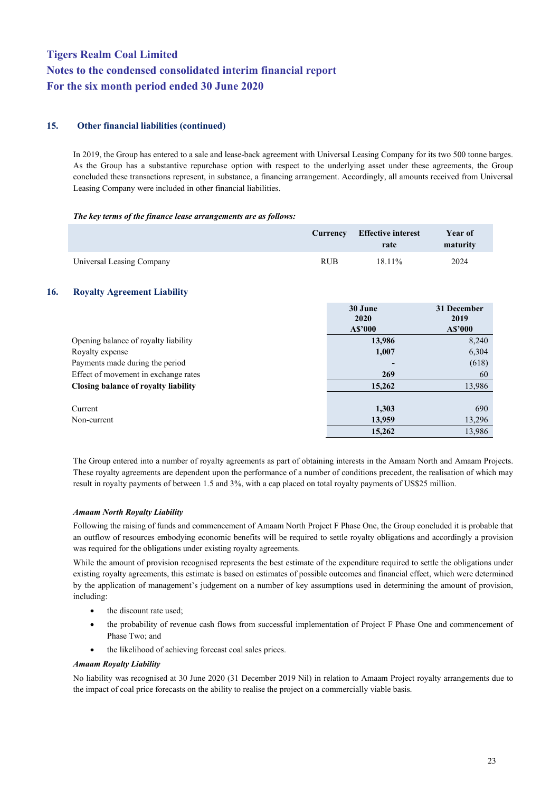#### **15. Other financial liabilities (continued)**

In 2019, the Group has entered to a sale and lease-back agreement with Universal Leasing Company for its two 500 tonne barges. As the Group has a substantive repurchase option with respect to the underlying asset under these agreements, the Group concluded these transactions represent, in substance, a financing arrangement. Accordingly, all amounts received from Universal Leasing Company were included in other financial liabilities.

#### *The key terms of the finance lease arrangements are as follows:*

|                           |            | Currency Effective interest<br>rate | Year of<br>maturity |
|---------------------------|------------|-------------------------------------|---------------------|
| Universal Leasing Company | <b>RUB</b> | $18.11\%$                           | 2024                |

#### **16. Royalty Agreement Liability**

|                                      | 30 June<br>2020 | 31 December<br>2019 |  |
|--------------------------------------|-----------------|---------------------|--|
|                                      | A\$'000         | A\$'000             |  |
| Opening balance of royalty liability | 13,986          | 8,240               |  |
| Royalty expense                      | 1,007           | 6,304               |  |
| Payments made during the period      |                 | (618)               |  |
| Effect of movement in exchange rates | 269             | 60                  |  |
| Closing balance of royalty liability | 15,262          | 13,986              |  |
| Current                              | 1,303           | 690                 |  |
| Non-current                          | 13,959          | 13,296              |  |
|                                      | 15,262          | 13,986              |  |

The Group entered into a number of royalty agreements as part of obtaining interests in the Amaam North and Amaam Projects. These royalty agreements are dependent upon the performance of a number of conditions precedent, the realisation of which may result in royalty payments of between 1.5 and 3%, with a cap placed on total royalty payments of US\$25 million.

#### *Amaam North Royalty Liability*

Following the raising of funds and commencement of Amaam North Project F Phase One, the Group concluded it is probable that an outflow of resources embodying economic benefits will be required to settle royalty obligations and accordingly a provision was required for the obligations under existing royalty agreements.

While the amount of provision recognised represents the best estimate of the expenditure required to settle the obligations under existing royalty agreements, this estimate is based on estimates of possible outcomes and financial effect, which were determined by the application of management's judgement on a number of key assumptions used in determining the amount of provision, including:

- the discount rate used;
- the probability of revenue cash flows from successful implementation of Project F Phase One and commencement of Phase Two; and
- the likelihood of achieving forecast coal sales prices.

#### *Amaam Royalty Liability*

No liability was recognised at 30 June 2020 (31 December 2019 Nil) in relation to Amaam Project royalty arrangements due to the impact of coal price forecasts on the ability to realise the project on a commercially viable basis.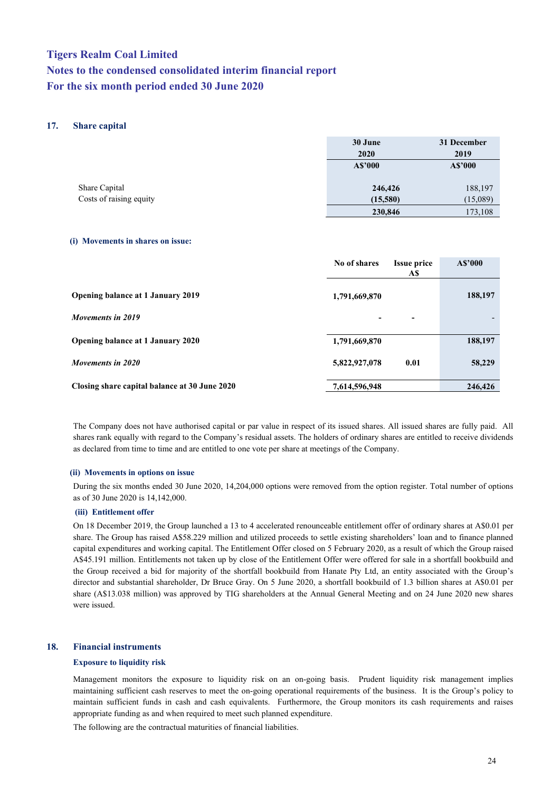#### **17. Share capital**

|                         | 30 June<br>2020 | 31 December<br>2019 |  |
|-------------------------|-----------------|---------------------|--|
|                         | A\$'000         | A\$'000             |  |
| Share Capital           | 246,426         | 188,197             |  |
| Costs of raising equity | (15,580)        | (15,089)            |  |
|                         | 230,846         | 173,108             |  |

#### **(i) Movements in shares on issue:**

|                                               | No of shares  | <b>Issue price</b><br>A\$ | A\$'000 |
|-----------------------------------------------|---------------|---------------------------|---------|
| <b>Opening balance at 1 January 2019</b>      | 1,791,669,870 |                           | 188,197 |
| Movements in 2019                             |               | -                         |         |
| Opening balance at 1 January 2020             | 1,791,669,870 |                           | 188,197 |
| Movements in 2020                             | 5,822,927,078 | 0.01                      | 58,229  |
| Closing share capital balance at 30 June 2020 | 7,614,596,948 |                           | 246,426 |

The Company does not have authorised capital or par value in respect of its issued shares. All issued shares are fully paid. All shares rank equally with regard to the Company's residual assets. The holders of ordinary shares are entitled to receive dividends as declared from time to time and are entitled to one vote per share at meetings of the Company.

#### **(ii) Movements in options on issue**

During the six months ended 30 June 2020, 14,204,000 options were removed from the option register. Total number of options as of 30 June 2020 is 14,142,000.

#### **(iii) Entitlement offer**

On 18 December 2019, the Group launched a 13 to 4 accelerated renounceable entitlement offer of ordinary shares at A\$0.01 per share. The Group has raised A\$58.229 million and utilized proceeds to settle existing shareholders' loan and to finance planned capital expenditures and working capital. The Entitlement Offer closed on 5 February 2020, as a result of which the Group raised A\$45.191 million. Entitlements not taken up by close of the Entitlement Offer were offered for sale in a shortfall bookbuild and the Group received a bid for majority of the shortfall bookbuild from Hanate Pty Ltd, an entity associated with the Group's director and substantial shareholder, Dr Bruce Gray. On 5 June 2020, a shortfall bookbuild of 1.3 billion shares at A\$0.01 per share (A\$13.038 million) was approved by TIG shareholders at the Annual General Meeting and on 24 June 2020 new shares were issued.

#### **18. Financial instruments**

#### **Exposure to liquidity risk**

Management monitors the exposure to liquidity risk on an on-going basis. Prudent liquidity risk management implies maintaining sufficient cash reserves to meet the on-going operational requirements of the business. It is the Group's policy to maintain sufficient funds in cash and cash equivalents. Furthermore, the Group monitors its cash requirements and raises appropriate funding as and when required to meet such planned expenditure.

The following are the contractual maturities of financial liabilities.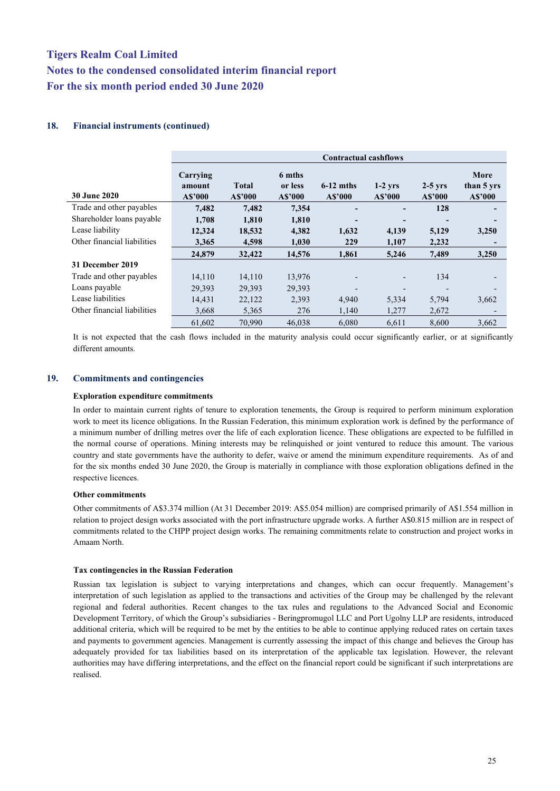#### **18. Financial instruments (continued)**

|                             | <b>Contractual cashflows</b>  |                  |                              |                          |                          |                          |                               |
|-----------------------------|-------------------------------|------------------|------------------------------|--------------------------|--------------------------|--------------------------|-------------------------------|
| <b>30 June 2020</b>         | Carrying<br>amount<br>A\$'000 | Total<br>A\$'000 | 6 mths<br>or less<br>A\$'000 | $6-12$ mths<br>A\$'000   | $1-2$ yrs<br>A\$'000     | $2-5$ yrs<br>A\$'000     | More<br>than 5 yrs<br>A\$'000 |
| Trade and other payables    | 7,482                         | 7,482            | 7,354                        |                          |                          | 128                      |                               |
| Shareholder loans payable   | 1.708                         | 1,810            | 1,810                        |                          |                          |                          |                               |
| Lease liability             | 12,324                        | 18,532           | 4,382                        | 1,632                    | 4,139                    | 5,129                    | 3,250                         |
| Other financial liabilities | 3,365                         | 4,598            | 1,030                        | 229                      | 1,107                    | 2,232                    |                               |
|                             | 24,879                        | 32,422           | 14,576                       | 1,861                    | 5,246                    | 7,489                    | 3,250                         |
| 31 December 2019            |                               |                  |                              |                          |                          |                          |                               |
| Trade and other payables    | 14,110                        | 14,110           | 13,976                       |                          |                          | 134                      |                               |
| Loans payable               | 29,393                        | 29,393           | 29,393                       | $\overline{\phantom{0}}$ | $\overline{\phantom{a}}$ | $\overline{\phantom{0}}$ |                               |
| Lease liabilities           | 14,431                        | 22,122           | 2,393                        | 4,940                    | 5,334                    | 5,794                    | 3,662                         |
| Other financial liabilities | 3,668                         | 5,365            | 276                          | 1,140                    | 1,277                    | 2,672                    |                               |
|                             | 61,602                        | 70,990           | 46,038                       | 6.080                    | 6,611                    | 8,600                    | 3,662                         |

It is not expected that the cash flows included in the maturity analysis could occur significantly earlier, or at significantly different amounts.

#### **19. Commitments and contingencies**

#### **Exploration expenditure commitments**

In order to maintain current rights of tenure to exploration tenements, the Group is required to perform minimum exploration work to meet its licence obligations. In the Russian Federation, this minimum exploration work is defined by the performance of a minimum number of drilling metres over the life of each exploration licence. These obligations are expected to be fulfilled in the normal course of operations. Mining interests may be relinquished or joint ventured to reduce this amount. The various country and state governments have the authority to defer, waive or amend the minimum expenditure requirements. As of and for the six months ended 30 June 2020, the Group is materially in compliance with those exploration obligations defined in the respective licences.

#### **Other commitments**

Other commitments of A\$3.374 million (At 31 December 2019: A\$5.054 million) are comprised primarily of A\$1.554 million in relation to project design works associated with the port infrastructure upgrade works. A further A\$0.815 million are in respect of commitments related to the CHPP project design works. The remaining commitments relate to construction and project works in Amaam North.

#### **Tax contingencies in the Russian Federation**

Russian tax legislation is subject to varying interpretations and changes, which can occur frequently. Management's interpretation of such legislation as applied to the transactions and activities of the Group may be challenged by the relevant regional and federal authorities. Recent changes to the tax rules and regulations to the Advanced Social and Economic Development Territory, of which the Group's subsidiaries - Beringpromugol LLC and Port Ugolny LLP are residents, introduced additional criteria, which will be required to be met by the entities to be able to continue applying reduced rates on certain taxes and payments to government agencies. Management is currently assessing the impact of this change and believes the Group has adequately provided for tax liabilities based on its interpretation of the applicable tax legislation. However, the relevant authorities may have differing interpretations, and the effect on the financial report could be significant if such interpretations are realised.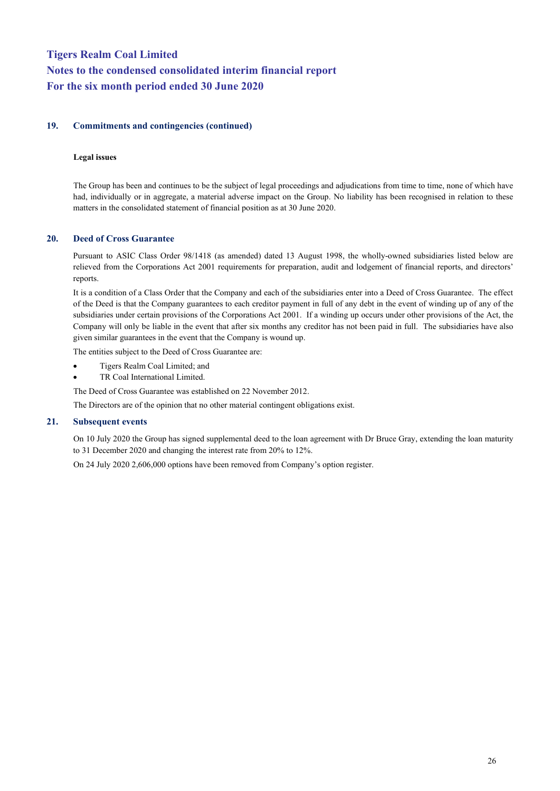#### **19. Commitments and contingencies (continued)**

#### **Legal issues**

The Group has been and continues to be the subject of legal proceedings and adjudications from time to time, none of which have had, individually or in aggregate, a material adverse impact on the Group. No liability has been recognised in relation to these matters in the consolidated statement of financial position as at 30 June 2020.

#### **20. Deed of Cross Guarantee**

Pursuant to ASIC Class Order 98/1418 (as amended) dated 13 August 1998, the wholly-owned subsidiaries listed below are relieved from the Corporations Act 2001 requirements for preparation, audit and lodgement of financial reports, and directors' reports.

It is a condition of a Class Order that the Company and each of the subsidiaries enter into a Deed of Cross Guarantee. The effect of the Deed is that the Company guarantees to each creditor payment in full of any debt in the event of winding up of any of the subsidiaries under certain provisions of the Corporations Act 2001. If a winding up occurs under other provisions of the Act, the Company will only be liable in the event that after six months any creditor has not been paid in full. The subsidiaries have also given similar guarantees in the event that the Company is wound up.

The entities subject to the Deed of Cross Guarantee are:

- Tigers Realm Coal Limited; and
- TR Coal International Limited.

The Deed of Cross Guarantee was established on 22 November 2012.

The Directors are of the opinion that no other material contingent obligations exist.

#### **21. Subsequent events**

On 10 July 2020 the Group has signed supplemental deed to the loan agreement with Dr Bruce Gray, extending the loan maturity to 31 December 2020 and changing the interest rate from 20% to 12%.

On 24 July 2020 2,606,000 options have been removed from Company's option register.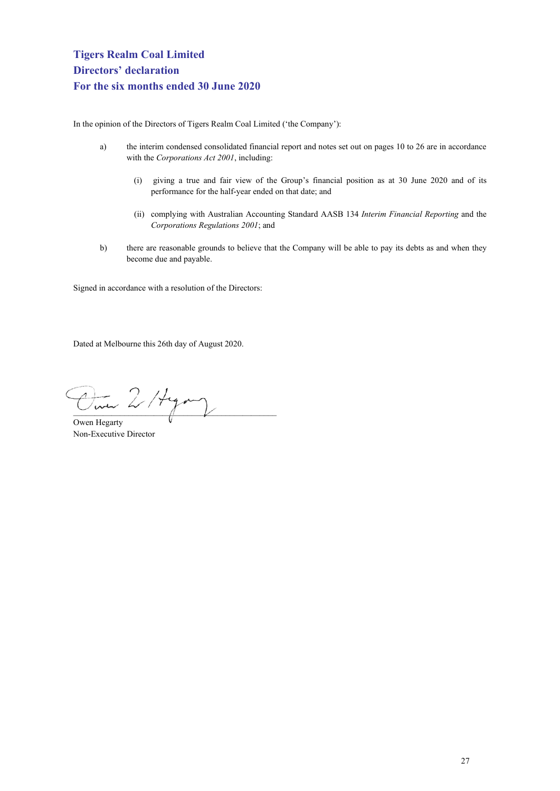<span id="page-28-0"></span>In the opinion of the Directors of Tigers Realm Coal Limited ('the Company'):

- a) the interim condensed consolidated financial report and notes set out on pages 10 to 26 are in accordance with the *Corporations Act 2001*, including:
	- (i) giving a true and fair view of the Group's financial position as at 30 June 2020 and of its performance for the half-year ended on that date; and
	- (ii) complying with Australian Accounting Standard AASB 134 *Interim Financial Reporting* and the *Corporations Regulations 2001*; and
- b) there are reasonable grounds to believe that the Company will be able to pay its debts as and when they become due and payable.

Signed in accordance with a resolution of the Directors:

Dated at Melbourne this 26th day of August 2020.

 $2$ /tym

Owen Hegarty Non-Executive Director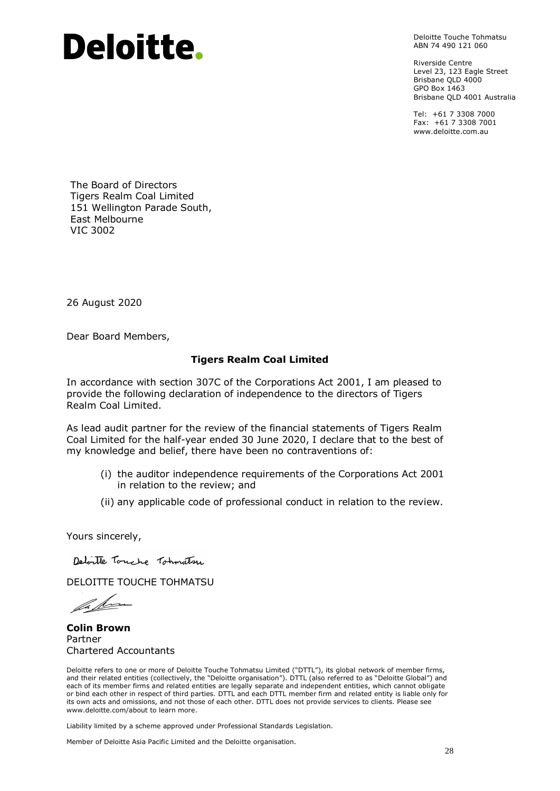# Deloitte.

Deloitte Touche Tohmatsu ABN 74 490 121 060

Riverside Centre Level 23, 123 Eagle Street Brisbane OLD 4000 GPO Box 1463 Brisbane QLD 4001 Australia

Tel: +61 7 3308 7000 Fax: +61 7 3308 7001 www.deloitte.com.au

The Board of Directors Tigers Realm Coal Limited 151 Wellington Parade South, East Melbourne VIC 3002

26 August 2020

Dear Board Members,

#### **Tigers Realm Coal Limited**

In accordance with section 307C of the Corporations Act 2001, I am pleased to provide the following declaration of independence to the directors of Tigers Realm Coal Limited.

As lead audit partner for the review of the financial statements of Tigers Realm Coal Limited for the half-year ended 30 June 2020, I declare that to the best of my knowledge and belief, there have been no contraventions of:

- (i) the auditor independence requirements of the Corporations Act 2001 in relation to the review; and
- (ii) any applicable code of professional conduct in relation to the review.

Yours sincerely,

Deloste Touche Tohnatsu

DELOITTE TOUCHE TOHMATSU

fa fra

**Colin Brown** Partner Chartered Accountants

Deloitte refers to one or more of Deloitte Touche Tohmatsu Limited ("DTTL"), its global network of member firms, and their related entities (collectively, the "Deloitte organisation"). DTTL (also referred to as "Deloitte Global") and each of its member firms and related entities are legally separate and independent entities, which cannot obligate or bind each other in respect of third parties. DTTL and each DTTL member firm and related entity is liable only for its own acts and omissions, and not those of each other. DTTL does not provide services to clients. Please see www.deloitte.com/about to learn more.

Liability limited by a scheme approved under Professional Standards Legislation.

Member of Deloitte Asia Pacific Limited and the Deloitte organisation.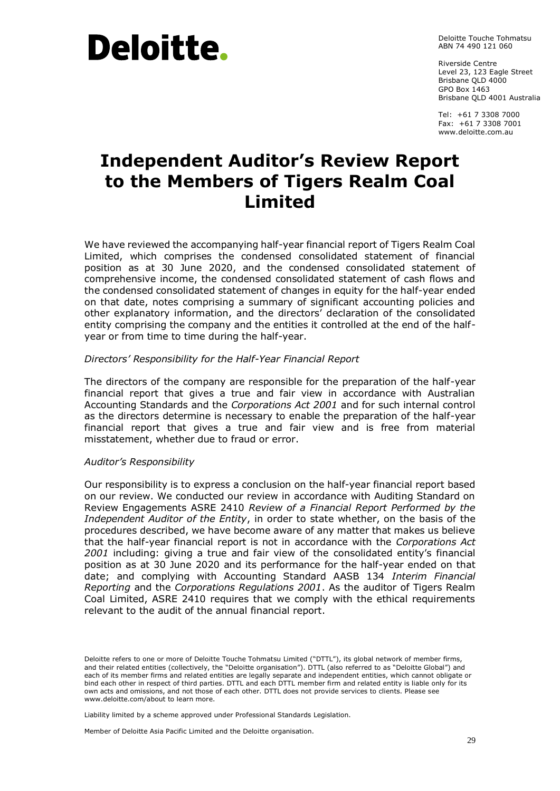# Deloitte.

Deloitte Touche Tohmatsu ABN 74 490 121 060

Riverside Centre Level 23, 123 Eagle Street Brisbane QLD 4000 GPO Box 1463 Brisbane QLD 4001 Australia

Tel: +61 7 3308 7000 Fax: +61 7 3308 7001 www.deloitte.com.au

# **Independent Auditor's Review Report to the Members of Tigers Realm Coal Limited**

We have reviewed the accompanying half-year financial report of Tigers Realm Coal Limited, which comprises the condensed consolidated statement of financial position as at 30 June 2020, and the condensed consolidated statement of comprehensive income, the condensed consolidated statement of cash flows and the condensed consolidated statement of changes in equity for the half-year ended on that date, notes comprising a summary of significant accounting policies and other explanatory information, and the directors' declaration of the consolidated entity comprising the company and the entities it controlled at the end of the halfyear or from time to time during the half-year.

#### *Directors' Responsibility for the Half-Year Financial Report*

The directors of the company are responsible for the preparation of the half-year financial report that gives a true and fair view in accordance with Australian Accounting Standards and the *Corporations Act 2001* and for such internal control as the directors determine is necessary to enable the preparation of the half-year financial report that gives a true and fair view and is free from material misstatement, whether due to fraud or error.

#### *Auditor's Responsibility*

Our responsibility is to express a conclusion on the half-year financial report based on our review. We conducted our review in accordance with Auditing Standard on Review Engagements ASRE 2410 *Review of a Financial Report Performed by the Independent Auditor of the Entity*, in order to state whether, on the basis of the procedures described, we have become aware of any matter that makes us believe that the half-year financial report is not in accordance with the *Corporations Act 2001* including: giving a true and fair view of the consolidated entity's financial position as at 30 June 2020 and its performance for the half-year ended on that date; and complying with Accounting Standard AASB 134 *Interim Financial Reporting* and the *Corporations Regulations 2001*. As the auditor of Tigers Realm Coal Limited, ASRE 2410 requires that we comply with the ethical requirements relevant to the audit of the annual financial report.

Liability limited by a scheme approved under Professional Standards Legislation.

Member of Deloitte Asia Pacific Limited and the Deloitte organisation.

Deloitte refers to one or more of Deloitte Touche Tohmatsu Limited ("DTTL"), its global network of member firms, and their related entities (collectively, the "Deloitte organisation"). DTTL (also referred to as "Deloitte Global") and each of its member firms and related entities are legally separate and independent entities, which cannot obligate or bind each other in respect of third parties. DTTL and each DTTL member firm and related entity is liable only for its own acts and omissions, and not those of each other. DTTL does not provide services to clients. Please see www.deloitte.com/about to learn more.